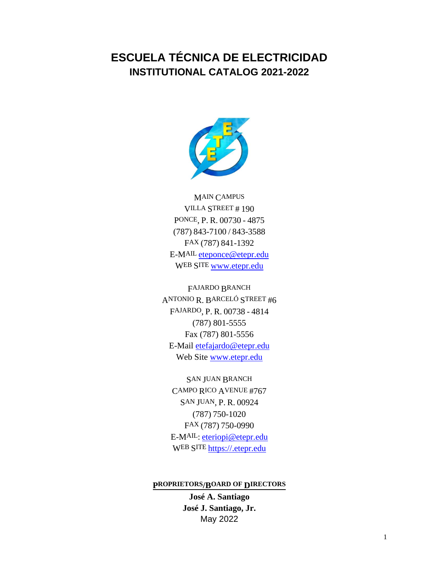# **ESCUELA TÉCNICA DE ELECTRICIDAD INSTITUTIONAL CATALOG 2021-2022**



MAIN CAMPUS VILLA STREET # 190 PONCE, P. R. 00730 - 4875 (787) 843-7100 / 843-3588 FAX (787) 841-1392 E-MAIL eteponce@etepr.edu WEB SITE [www.etepr.edu](http://www.etepr.edu/)

FAJARDO BRANCH ANTONIO R. BARCELÓ STREET #6 FAJARDO, P. R. 00738 - 4814 (787) 801-5555 Fax (787) 801-5556 E-Mail etefajardo@etepr.edu Web Site [www.etepr.edu](http://www.etepr.edu/)

SAN JUAN BRANCH CAMPO RICO AVENUE #767 SAN JUAN, P. R. 00924 (787) 750-1020 FAX (787) 750-0990 E-MAIL: eteriopi@etepr.edu WEB SITE [https://](https://etepr.edu/)[.etepr.edu](http://www.etepr.edu/)

#### **PROPRIETORS/BOARD OF DIRECTORS**

**José A. Santiago José J. Santiago, Jr.** May 2022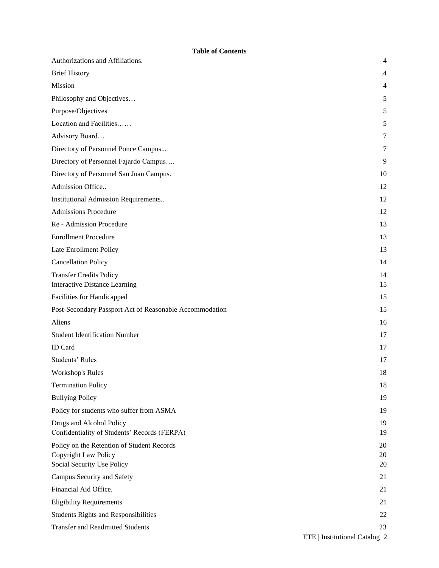#### **Table of Contents**

| Authorizations and Affiliations.                                                                        | $\overline{4}$ |
|---------------------------------------------------------------------------------------------------------|----------------|
| <b>Brief History</b>                                                                                    | $\cdot$ 4      |
| Mission                                                                                                 | 4              |
| Philosophy and Objectives                                                                               | 5              |
| Purpose/Objectives                                                                                      | 5              |
| Location and Facilities                                                                                 | 5              |
| Advisory Board                                                                                          | 7              |
| Directory of Personnel Ponce Campus                                                                     | 7              |
| Directory of Personnel Fajardo Campus                                                                   | 9              |
| Directory of Personnel San Juan Campus.                                                                 | 10             |
| Admission Office                                                                                        | 12             |
| Institutional Admission Requirements                                                                    | 12             |
| <b>Admissions Procedure</b>                                                                             | 12             |
| Re - Admission Procedure                                                                                | 13             |
| <b>Enrollment Procedure</b>                                                                             | 13             |
| Late Enrollment Policy                                                                                  | 13             |
| <b>Cancellation Policy</b>                                                                              | 14             |
| <b>Transfer Credits Policy</b><br><b>Interactive Distance Learning</b>                                  | 14<br>15       |
| Facilities for Handicapped                                                                              | 15             |
| Post-Secondary Passport Act of Reasonable Accommodation                                                 | 15             |
| Aliens                                                                                                  | 16             |
| <b>Student Identification Number</b>                                                                    | 17             |
| ID Card                                                                                                 | 17             |
| Students' Rules                                                                                         | 17             |
| Workshop's Rules                                                                                        | 18             |
| <b>Termination Policy</b>                                                                               | 18             |
| <b>Bullying Policy</b>                                                                                  | 19             |
| Policy for students who suffer from ASMA                                                                | 19             |
| Drugs and Alcohol Policy<br>Confidentiality of Students' Records (FERPA)                                | 19<br>19       |
| Policy on the Retention of Student Records<br><b>Copyright Law Policy</b><br>Social Security Use Policy | 20<br>20<br>20 |
| Campus Security and Safety                                                                              | 21             |
| Financial Aid Office.                                                                                   | 21             |
| <b>Eligibility Requirements</b>                                                                         | 21             |
| <b>Students Rights and Responsibilities</b>                                                             | 22             |
| <b>Transfer and Readmitted Students</b>                                                                 | 23             |
|                                                                                                         |                |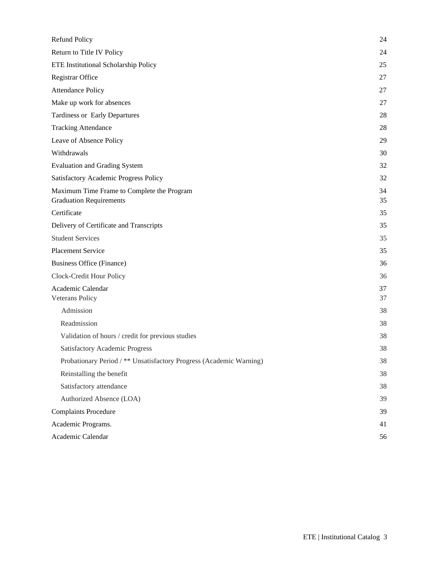| Refund Policy                                                                | 24       |
|------------------------------------------------------------------------------|----------|
| Return to Title IV Policy                                                    | 24       |
| ETE Institutional Scholarship Policy                                         | 25       |
| Registrar Office                                                             | 27       |
| <b>Attendance Policy</b>                                                     | 27       |
| Make up work for absences                                                    | 27       |
| <b>Tardiness or Early Departures</b>                                         | 28       |
| <b>Tracking Attendance</b>                                                   | 28       |
| Leave of Absence Policy                                                      | 29       |
| Withdrawals                                                                  | 30       |
| <b>Evaluation and Grading System</b>                                         | 32       |
| Satisfactory Academic Progress Policy                                        | 32       |
| Maximum Time Frame to Complete the Program<br><b>Graduation Requirements</b> | 34<br>35 |
| Certificate                                                                  | 35       |
| Delivery of Certificate and Transcripts                                      | 35       |
| <b>Student Services</b>                                                      | 35       |
| <b>Placement Service</b>                                                     | 35       |
| <b>Business Office (Finance)</b>                                             | 36       |
| Clock-Credit Hour Policy                                                     | 36       |
| Academic Calendar<br>Veterans Policy                                         | 37<br>37 |
| Admission                                                                    | 38       |
| Readmission                                                                  | 38       |
| Validation of hours / credit for previous studies                            | 38       |
| <b>Satisfactory Academic Progress</b>                                        | 38       |
| Probationary Period / ** Unsatisfactory Progress (Academic Warning)          | 38       |
| Reinstalling the benefit                                                     | 38       |
| Satisfactory attendance                                                      | 38       |
| Authorized Absence (LOA)                                                     | 39       |
| <b>Complaints Procedure</b>                                                  | 39       |
| Academic Programs.                                                           | 41       |
| Academic Calendar                                                            | 56       |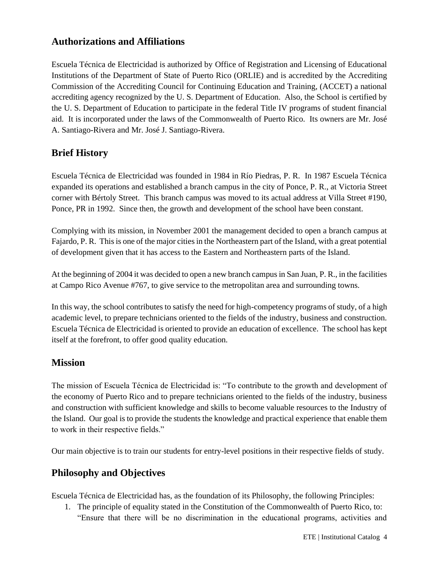# **Authorizations and Affiliations**

Escuela Técnica de Electricidad is authorized by Office of Registration and Licensing of Educational Institutions of the Department of State of Puerto Rico (ORLIE) and is accredited by the Accrediting Commission of the Accrediting Council for Continuing Education and Training, (ACCET) a national accrediting agency recognized by the U. S. Department of Education. Also, the School is certified by the U. S. Department of Education to participate in the federal Title IV programs of student financial aid. It is incorporated under the laws of the Commonwealth of Puerto Rico. Its owners are Mr. José A. Santiago-Rivera and Mr. José J. Santiago-Rivera.

# **Brief History**

Escuela Técnica de Electricidad was founded in 1984 in Río Piedras, P. R. In 1987 Escuela Técnica expanded its operations and established a branch campus in the city of Ponce, P. R., at Victoria Street corner with Bértoly Street. This branch campus was moved to its actual address at Villa Street #190, Ponce, PR in 1992. Since then, the growth and development of the school have been constant.

Complying with its mission, in November 2001 the management decided to open a branch campus at Fajardo, P. R. This is one of the major cities in the Northeastern part of the Island, with a great potential of development given that it has access to the Eastern and Northeastern parts of the Island.

At the beginning of 2004 it was decided to open a new branch campus in San Juan, P. R., in the facilities at Campo Rico Avenue #767, to give service to the metropolitan area and surrounding towns.

In this way, the school contributes to satisfy the need for high-competency programs of study, of a high academic level, to prepare technicians oriented to the fields of the industry, business and construction. Escuela Técnica de Electricidad is oriented to provide an education of excellence. The school has kept itself at the forefront, to offer good quality education.

# **Mission**

The mission of Escuela Técnica de Electricidad is: "To contribute to the growth and development of the economy of Puerto Rico and to prepare technicians oriented to the fields of the industry, business and construction with sufficient knowledge and skills to become valuable resources to the Industry of the Island. Our goal is to provide the students the knowledge and practical experience that enable them to work in their respective fields."

Our main objective is to train our students for entry-level positions in their respective fields of study.

# **Philosophy and Objectives**

Escuela Técnica de Electricidad has, as the foundation of its Philosophy, the following Principles:

1. The principle of equality stated in the Constitution of the Commonwealth of Puerto Rico, to: "Ensure that there will be no discrimination in the educational programs, activities and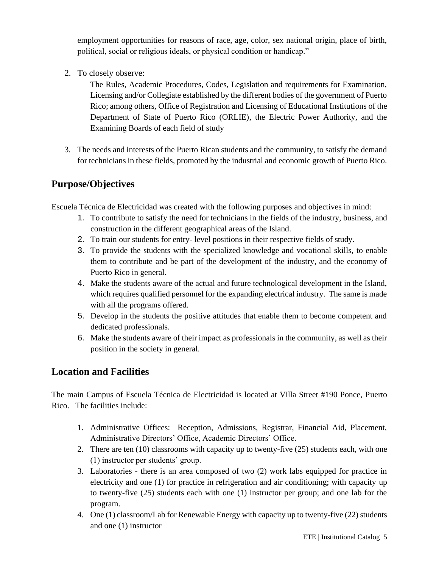employment opportunities for reasons of race, age, color, sex national origin, place of birth, political, social or religious ideals, or physical condition or handicap."

2. To closely observe:

The Rules, Academic Procedures, Codes, Legislation and requirements for Examination, Licensing and/or Collegiate established by the different bodies of the government of Puerto Rico; among others, Office of Registration and Licensing of Educational Institutions of the Department of State of Puerto Rico (ORLIE), the Electric Power Authority, and the Examining Boards of each field of study

3. The needs and interests of the Puerto Rican students and the community, to satisfy the demand for technicians in these fields, promoted by the industrial and economic growth of Puerto Rico.

# **Purpose/Objectives**

Escuela Técnica de Electricidad was created with the following purposes and objectives in mind:

- 1. To contribute to satisfy the need for technicians in the fields of the industry, business, and construction in the different geographical areas of the Island.
- 2. To train our students for entry- level positions in their respective fields of study.
- 3. To provide the students with the specialized knowledge and vocational skills, to enable them to contribute and be part of the development of the industry, and the economy of Puerto Rico in general.
- 4. Make the students aware of the actual and future technological development in the Island, which requires qualified personnel for the expanding electrical industry. The same is made with all the programs offered.
- 5. Develop in the students the positive attitudes that enable them to become competent and dedicated professionals.
- 6. Make the students aware of their impact as professionals in the community, as well as their position in the society in general.

# **Location and Facilities**

The main Campus of Escuela Técnica de Electricidad is located at Villa Street #190 Ponce, Puerto Rico. The facilities include:

- 1. Administrative Offices: Reception, Admissions, Registrar, Financial Aid, Placement, Administrative Directors' Office, Academic Directors' Office.
- 2. There are ten (10) classrooms with capacity up to twenty-five (25) students each, with one (1) instructor per students' group.
- 3. Laboratories there is an area composed of two (2) work labs equipped for practice in electricity and one (1) for practice in refrigeration and air conditioning; with capacity up to twenty-five (25) students each with one (1) instructor per group; and one lab for the program.
- 4. One (1) classroom/Lab for Renewable Energy with capacity up to twenty-five (22) students and one (1) instructor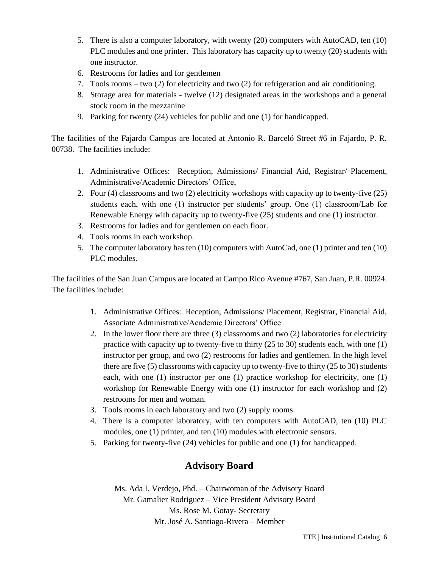- 5. There is also a computer laboratory, with twenty (20) computers with AutoCAD, ten (10) PLC modules and one printer. This laboratory has capacity up to twenty (20) students with one instructor.
- 6. Restrooms for ladies and for gentlemen
- 7. Tools rooms two (2) for electricity and two (2) for refrigeration and air conditioning.
- 8. Storage area for materials twelve (12) designated areas in the workshops and a general stock room in the mezzanine
- 9. Parking for twenty (24) vehicles for public and one (1) for handicapped.

The facilities of the Fajardo Campus are located at Antonio R. Barceló Street #6 in Fajardo, P. R. 00738. The facilities include:

- 1. Administrative Offices: Reception, Admissions/ Financial Aid, Registrar/ Placement, Administrative/Academic Directors' Office,
- 2. Four (4) classrooms and two (2) electricity workshops with capacity up to twenty-five (25) students each, with one (1) instructor per students' group. One (1) classroom/Lab for Renewable Energy with capacity up to twenty-five (25) students and one (1) instructor.
- 3. Restrooms for ladies and for gentlemen on each floor.
- 4. Tools rooms in each workshop.
- 5. The computer laboratory has ten (10) computers with AutoCad, one (1) printer and ten (10) PLC modules.

The facilities of the San Juan Campus are located at Campo Rico Avenue #767, San Juan, P.R. 00924. The facilities include:

- 1. Administrative Offices: Reception, Admissions/ Placement, Registrar, Financial Aid, Associate Administrative/Academic Directors' Office
- 2. In the lower floor there are three (3) classrooms and two (2) laboratories for electricity practice with capacity up to twenty-five to thirty  $(25 \text{ to } 30)$  students each, with one  $(1)$ instructor per group, and two (2) restrooms for ladies and gentlemen. In the high level there are five (5) classrooms with capacity up to twenty-five to thirty (25 to 30) students each, with one (1) instructor per one (1) practice workshop for electricity, one (1) workshop for Renewable Energy with one (1) instructor for each workshop and (2) restrooms for men and woman.
- 3. Tools rooms in each laboratory and two (2) supply rooms.
- 4. There is a computer laboratory, with ten computers with AutoCAD, ten (10) PLC modules, one (1) printer, and ten (10) modules with electronic sensors.
- 5. Parking for twenty-five (24) vehicles for public and one (1) for handicapped.

# **Advisory Board**

Ms. Ada I. Verdejo, Phd. – Chairwoman of the Advisory Board Mr. Gamalier Rodriguez – Vice President Advisory Board Ms. Rose M. Gotay- Secretary Mr. José A. Santiago-Rivera – Member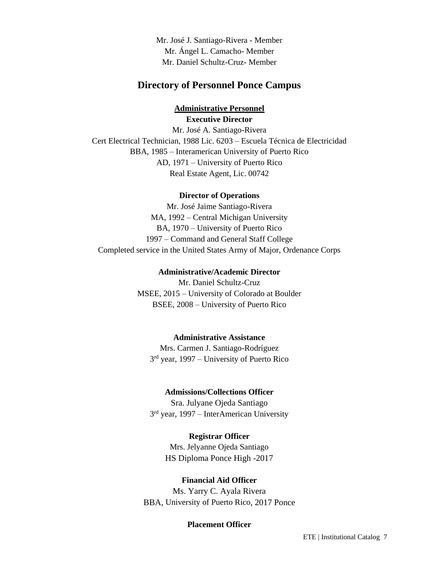Mr. José J. Santiago-Rivera - Member Mr. Ángel L. Camacho- Member Mr. Daniel Schultz-Cruz- Member

## **Directory of Personnel Ponce Campus**

# **Administrative Personnel Executive Director**

Mr. José A. Santiago-Rivera Cert Electrical Technician, 1988 Lic. 6203 – Escuela Técnica de Electricidad BBA, 1985 – Interamerican University of Puerto Rico AD, 1971 – University of Puerto Rico Real Estate Agent, Lic. 00742

#### **Director of Operations**

Mr. José Jaime Santiago-Rivera MA, 1992 – Central Michigan University BA, 1970 – University of Puerto Rico 1997 – Command and General Staff College Completed service in the United States Army of Major, Ordenance Corps

#### **Administrative/Academic Director** Mr. Daniel Schultz-Cruz

MSEE, 2015 – University of Colorado at Boulder BSEE, 2008 – University of Puerto Rico

#### **Administrative Assistance**

Mrs. Carmen J. Santiago-Rodríguez 3<sup>rd</sup> year, 1997 – University of Puerto Rico

#### **Admissions/Collections Officer**

Sra. Julyane Ojeda Santiago 3<sup>rd</sup> year, 1997 – InterAmerican University

#### **Registrar Officer**

Mrs. Jelyanne Ojeda Santiago HS Diploma Ponce High -2017

#### **Financial Aid Officer**

Ms. Yarry C. Ayala Rivera BBA, University of Puerto Rico, 2017 Ponce

#### **Placement Officer**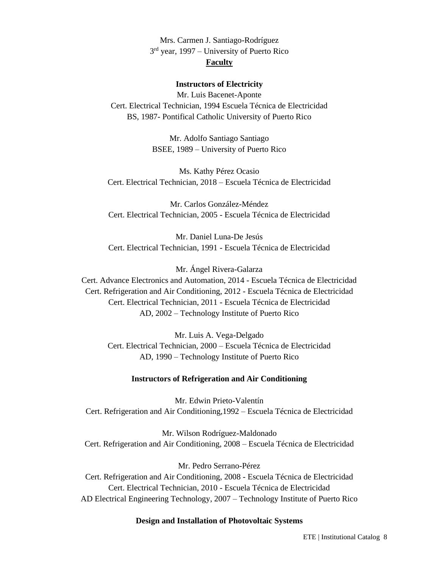Mrs. Carmen J. Santiago-Rodríguez 3<sup>rd</sup> year, 1997 – University of Puerto Rico **Faculty**

#### **Instructors of Electricity**

Mr. Luis Bacenet-Aponte Cert. Electrical Technician, 1994 Escuela Técnica de Electricidad BS, 1987- Pontifical Catholic University of Puerto Rico

> Mr. Adolfo Santiago Santiago BSEE, 1989 – University of Puerto Rico

Ms. Kathy Pérez Ocasio Cert. Electrical Technician, 2018 – Escuela Técnica de Electricidad

Mr. Carlos González-Méndez Cert. Electrical Technician, 2005 - Escuela Técnica de Electricidad

Mr. Daniel Luna-De Jesús Cert. Electrical Technician, 1991 - Escuela Técnica de Electricidad

Mr. Ángel Rivera-Galarza

Cert. Advance Electronics and Automation, 2014 - Escuela Técnica de Electricidad Cert. Refrigeration and Air Conditioning, 2012 - Escuela Técnica de Electricidad Cert. Electrical Technician, 2011 - Escuela Técnica de Electricidad AD, 2002 – Technology Institute of Puerto Rico

Mr. Luis A. Vega-Delgado Cert. Electrical Technician, 2000 – Escuela Técnica de Electricidad AD, 1990 – Technology Institute of Puerto Rico

#### **Instructors of Refrigeration and Air Conditioning**

Mr. Edwin Prieto-Valentín Cert. Refrigeration and Air Conditioning,1992 – Escuela Técnica de Electricidad

Mr. Wilson Rodríguez-Maldonado Cert. Refrigeration and Air Conditioning, 2008 – Escuela Técnica de Electricidad

Mr. Pedro Serrano-Pérez Cert. Refrigeration and Air Conditioning, 2008 - Escuela Técnica de Electricidad Cert. Electrical Technician, 2010 - Escuela Técnica de Electricidad AD Electrical Engineering Technology, 2007 – Technology Institute of Puerto Rico

#### **Design and Installation of Photovoltaic Systems**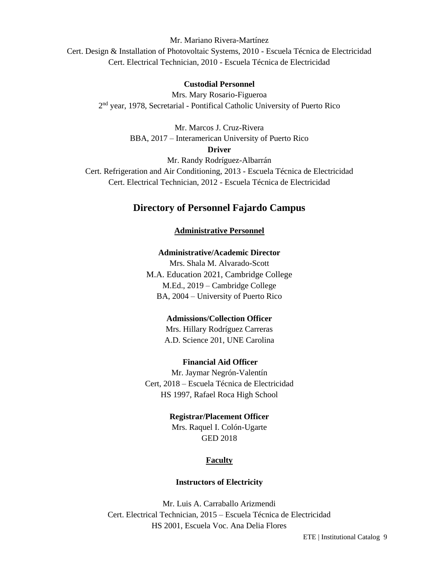Mr. Mariano Rivera-Martínez

Cert. Design & Installation of Photovoltaic Systems, 2010 - Escuela Técnica de Electricidad Cert. Electrical Technician, 2010 - Escuela Técnica de Electricidad

#### **Custodial Personnel**

Mrs. Mary Rosario-Figueroa 2<sup>nd</sup> year, 1978, Secretarial - Pontifical Catholic University of Puerto Rico

> Mr. Marcos J. Cruz-Rivera BBA, 2017 – Interamerican University of Puerto Rico **Driver**

> > Mr. Randy Rodríguez-Albarrán

Cert. Refrigeration and Air Conditioning, 2013 - Escuela Técnica de Electricidad Cert. Electrical Technician, 2012 - Escuela Técnica de Electricidad

# **Directory of Personnel Fajardo Campus**

#### **Administrative Personnel**

#### **Administrative/Academic Director**

Mrs. Shala M. Alvarado-Scott M.A. Education 2021, Cambridge College M.Ed., 2019 – Cambridge College BA, 2004 – University of Puerto Rico

#### **Admissions/Collection Officer**

Mrs. Hillary Rodríguez Carreras A.D. Science 201, UNE Carolina

#### **Financial Aid Officer**

Mr. Jaymar Negrón-Valentín Cert, 2018 – Escuela Técnica de Electricidad HS 1997, Rafael Roca High School

#### **Registrar/Placement Officer**

Mrs. Raquel I. Colón-Ugarte GED 2018

#### **Faculty**

#### **Instructors of Electricity**

Mr. Luis A. Carraballo Arizmendi Cert. Electrical Technician, 2015 – Escuela Técnica de Electricidad HS 2001, Escuela Voc. Ana Delia Flores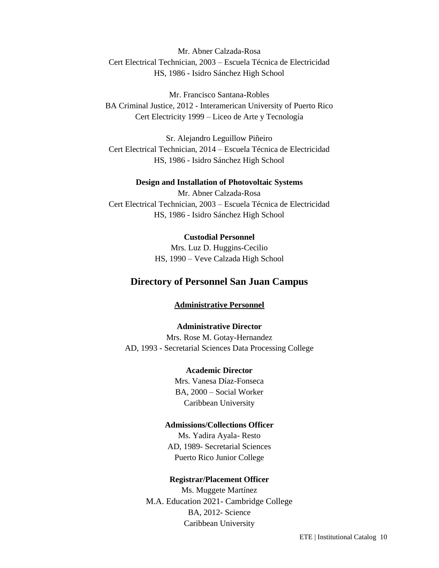Mr. Abner Calzada-Rosa Cert Electrical Technician, 2003 – Escuela Técnica de Electricidad HS, 1986 - Isidro Sánchez High School

Mr. Francisco Santana-Robles BA Criminal Justice, 2012 - Interamerican University of Puerto Rico Cert Electricity 1999 – Liceo de Arte y Tecnología

Sr. Alejandro Leguillow Piñeiro Cert Electrical Technician, 2014 – Escuela Técnica de Electricidad HS, 1986 - Isidro Sánchez High School

#### **Design and Installation of Photovoltaic Systems**

Mr. Abner Calzada-Rosa Cert Electrical Technician, 2003 – Escuela Técnica de Electricidad HS, 1986 - Isidro Sánchez High School

#### **Custodial Personnel**

Mrs. Luz D. Huggins-Cecilio HS, 1990 – Veve Calzada High School

# **Directory of Personnel San Juan Campus**

#### **Administrative Personnel**

**Administrative Director** Mrs. Rose M. Gotay-Hernandez AD, 1993 - Secretarial Sciences Data Processing College

#### **Academic Director**

Mrs. Vanesa Díaz-Fonseca BA, 2000 – Social Worker Caribbean University

#### **Admissions/Collections Officer**

Ms. Yadira Ayala- Resto AD, 1989- Secretarial Sciences Puerto Rico Junior College

#### **Registrar/Placement Officer**

Ms. Muggete Martínez M.A. Education 2021- Cambridge College BA, 2012- Science Caribbean University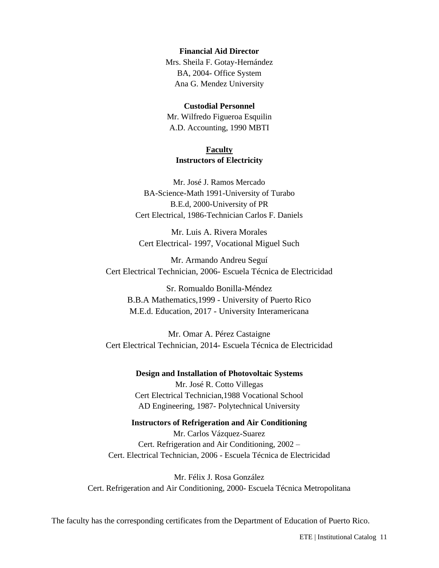#### **Financial Aid Director**

Mrs. Sheila F. Gotay-Hernández BA, 2004- Office System Ana G. Mendez University

#### **Custodial Personnel**

Mr. Wilfredo Figueroa Esquilin A.D. Accounting, 1990 MBTI

#### **Faculty Instructors of Electricity**

Mr. José J. Ramos Mercado BA-Science-Math 1991-University of Turabo B.E.d, 2000-University of PR Cert Electrical, 1986-Technician Carlos F. Daniels

Mr. Luis A. Rivera Morales Cert Electrical- 1997, Vocational Miguel Such

Mr. Armando Andreu Seguí Cert Electrical Technician, 2006- Escuela Técnica de Electricidad

Sr. Romualdo Bonilla-Méndez B.B.A Mathematics,1999 - University of Puerto Rico M.E.d. Education, 2017 - University Interamericana

Mr. Omar A. Pérez Castaigne Cert Electrical Technician, 2014- Escuela Técnica de Electricidad

> **Design and Installation of Photovoltaic Systems** Mr. José R. Cotto Villegas Cert Electrical Technician,1988 Vocational School AD Engineering, 1987- Polytechnical University

#### **Instructors of Refrigeration and Air Conditioning**

Mr. Carlos Vázquez-Suarez Cert. Refrigeration and Air Conditioning, 2002 – Cert. Electrical Technician, 2006 - Escuela Técnica de Electricidad

Mr. Félix J. Rosa González Cert. Refrigeration and Air Conditioning, 2000- Escuela Técnica Metropolitana

The faculty has the corresponding certificates from the Department of Education of Puerto Rico.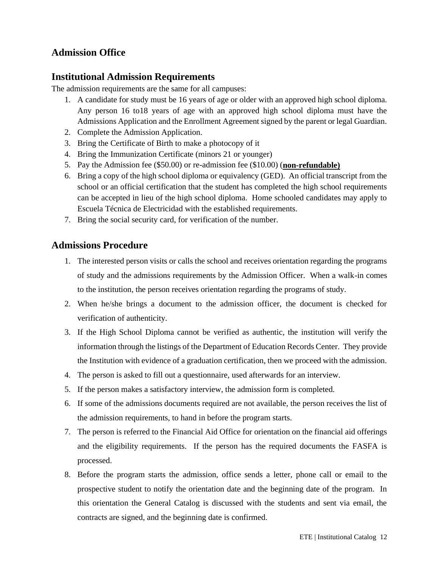# **Admission Office**

# **Institutional Admission Requirements**

The admission requirements are the same for all campuses:

- 1. A candidate for study must be 16 years of age or older with an approved high school diploma. Any person 16 to18 years of age with an approved high school diploma must have the Admissions Application and the Enrollment Agreement signed by the parent or legal Guardian.
- 2. Complete the Admission Application.
- 3. Bring the Certificate of Birth to make a photocopy of it
- 4. Bring the Immunization Certificate (minors 21 or younger)
- 5. Pay the Admission fee (\$50.00) or re-admission fee (\$10.00) (**non-refundable)**
- 6. Bring a copy of the high school diploma or equivalency (GED). An official transcript from the school or an official certification that the student has completed the high school requirements can be accepted in lieu of the high school diploma. Home schooled candidates may apply to Escuela Técnica de Electricidad with the established requirements.
- 7. Bring the social security card, for verification of the number.

# **Admissions Procedure**

- 1. The interested person visits or calls the school and receives orientation regarding the programs of study and the admissions requirements by the Admission Officer. When a walk-in comes to the institution, the person receives orientation regarding the programs of study.
- 2. When he/she brings a document to the admission officer, the document is checked for verification of authenticity.
- 3. If the High School Diploma cannot be verified as authentic, the institution will verify the information through the listings of the Department of Education Records Center. They provide the Institution with evidence of a graduation certification, then we proceed with the admission.
- 4. The person is asked to fill out a questionnaire, used afterwards for an interview.
- 5. If the person makes a satisfactory interview, the admission form is completed.
- 6. If some of the admissions documents required are not available, the person receives the list of the admission requirements, to hand in before the program starts.
- 7. The person is referred to the Financial Aid Office for orientation on the financial aid offerings and the eligibility requirements. If the person has the required documents the FASFA is processed.
- 8. Before the program starts the admission, office sends a letter, phone call or email to the prospective student to notify the orientation date and the beginning date of the program. In this orientation the General Catalog is discussed with the students and sent via email, the contracts are signed, and the beginning date is confirmed.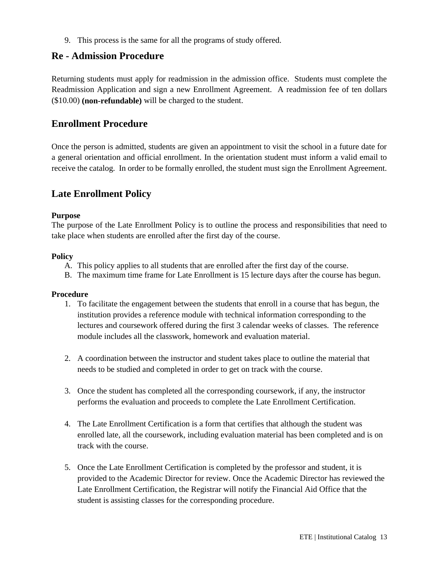9. This process is the same for all the programs of study offered.

# **Re - Admission Procedure**

Returning students must apply for readmission in the admission office. Students must complete the Readmission Application and sign a new Enrollment Agreement. A readmission fee of ten dollars (\$10.00) **(non-refundable)** will be charged to the student.

# **Enrollment Procedure**

Once the person is admitted, students are given an appointment to visit the school in a future date for a general orientation and official enrollment. In the orientation student must inform a valid email to receive the catalog. In order to be formally enrolled, the student must sign the Enrollment Agreement.

# **Late Enrollment Policy**

#### **Purpose**

The purpose of the Late Enrollment Policy is to outline the process and responsibilities that need to take place when students are enrolled after the first day of the course.

#### **Policy**

- A. This policy applies to all students that are enrolled after the first day of the course.
- B. The maximum time frame for Late Enrollment is 15 lecture days after the course has begun.

#### **Procedure**

- 1. To facilitate the engagement between the students that enroll in a course that has begun, the institution provides a reference module with technical information corresponding to the lectures and coursework offered during the first 3 calendar weeks of classes. The reference module includes all the classwork, homework and evaluation material.
- 2. A coordination between the instructor and student takes place to outline the material that needs to be studied and completed in order to get on track with the course.
- 3. Once the student has completed all the corresponding coursework, if any, the instructor performs the evaluation and proceeds to complete the Late Enrollment Certification.
- 4. The Late Enrollment Certification is a form that certifies that although the student was enrolled late, all the coursework, including evaluation material has been completed and is on track with the course.
- 5. Once the Late Enrollment Certification is completed by the professor and student, it is provided to the Academic Director for review. Once the Academic Director has reviewed the Late Enrollment Certification, the Registrar will notify the Financial Aid Office that the student is assisting classes for the corresponding procedure.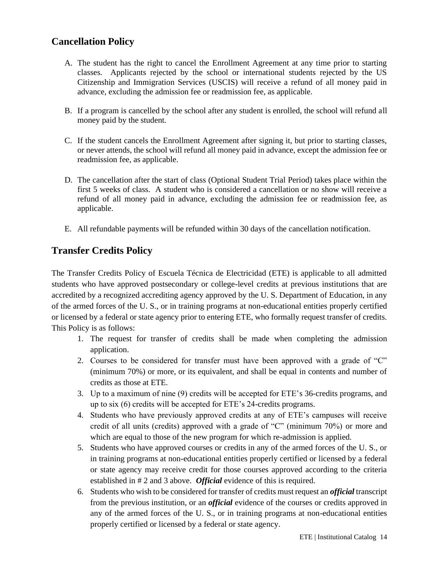# **Cancellation Policy**

- A. The student has the right to cancel the Enrollment Agreement at any time prior to starting classes. Applicants rejected by the school or international students rejected by the US Citizenship and Immigration Services (USCIS) will receive a refund of all money paid in advance, excluding the admission fee or readmission fee, as applicable.
- B. If a program is cancelled by the school after any student is enrolled, the school will refund all money paid by the student.
- C. If the student cancels the Enrollment Agreement after signing it, but prior to starting classes, or never attends, the school will refund all money paid in advance, except the admission fee or readmission fee, as applicable.
- D. The cancellation after the start of class (Optional Student Trial Period) takes place within the first 5 weeks of class. A student who is considered a cancellation or no show will receive a refund of all money paid in advance, excluding the admission fee or readmission fee, as applicable.
- E. All refundable payments will be refunded within 30 days of the cancellation notification.

# **Transfer Credits Policy**

The Transfer Credits Policy of Escuela Técnica de Electricidad (ETE) is applicable to all admitted students who have approved postsecondary or college-level credits at previous institutions that are accredited by a recognized accrediting agency approved by the U. S. Department of Education, in any of the armed forces of the U. S., or in training programs at non-educational entities properly certified or licensed by a federal or state agency prior to entering ETE, who formally request transfer of credits. This Policy is as follows:

- 1. The request for transfer of credits shall be made when completing the admission application.
- 2. Courses to be considered for transfer must have been approved with a grade of "C" (minimum 70%) or more, or its equivalent, and shall be equal in contents and number of credits as those at ETE.
- 3. Up to a maximum of nine (9) credits will be accepted for ETE's 36-credits programs, and up to six (6) credits will be accepted for ETE's 24-credits programs.
- 4. Students who have previously approved credits at any of ETE's campuses will receive credit of all units (credits) approved with a grade of "C" (minimum 70%) or more and which are equal to those of the new program for which re-admission is applied.
- 5. Students who have approved courses or credits in any of the armed forces of the U. S., or in training programs at non-educational entities properly certified or licensed by a federal or state agency may receive credit for those courses approved according to the criteria established in # 2 and 3 above. *Official* evidence of this is required.
- 6. Students who wish to be considered for transfer of credits must request an *official* transcript from the previous institution, or an *official* evidence of the courses or credits approved in any of the armed forces of the U. S., or in training programs at non-educational entities properly certified or licensed by a federal or state agency.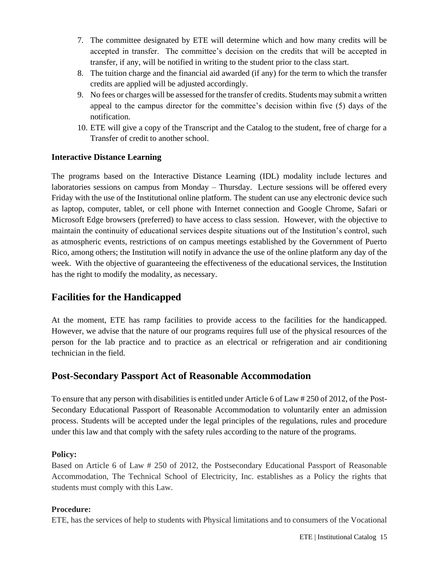- 7. The committee designated by ETE will determine which and how many credits will be accepted in transfer. The committee's decision on the credits that will be accepted in transfer, if any, will be notified in writing to the student prior to the class start.
- 8. The tuition charge and the financial aid awarded (if any) for the term to which the transfer credits are applied will be adjusted accordingly.
- 9. No fees or charges will be assessed for the transfer of credits. Students may submit a written appeal to the campus director for the committee's decision within five (5) days of the notification.
- <span id="page-14-0"></span>10. ETE will give a copy of the Transcript and the Catalog to the student, free of charge for a Transfer of credit to another school.

## **Interactive Distance Learning**

The programs based on the Interactive Distance Learning (IDL) modality include lectures and laboratories sessions on campus from Monday – Thursday. Lecture sessions will be offered every Friday with the use of the Institutional online platform. The student can use any electronic device such as laptop, computer, tablet, or cell phone with Internet connection and Google Chrome, Safari or Microsoft Edge browsers (preferred) to have access to class session. However, with the objective to maintain the continuity of educational services despite situations out of the Institution's control, such as atmospheric events, restrictions of on campus meetings established by the Government of Puerto Rico, among others; the Institution will notify in advance the use of the online platform any day of the week. With the objective of guaranteeing the effectiveness of the educational services, the Institution has the right to modify the modality, as necessary.

# **Facilities for the Handicapped**

At the moment, ETE has ramp facilities to provide access to the facilities for the handicapped. However, we advise that the nature of our programs requires full use of the physical resources of the person for the lab practice and to practice as an electrical or refrigeration and air conditioning technician in the field.

# **Post-Secondary Passport Act of Reasonable Accommodation**

To ensure that any person with disabilities is entitled under Article 6 of Law # 250 of 2012, of the Post-Secondary Educational Passport of Reasonable Accommodation to voluntarily enter an admission process. Students will be accepted under the legal principles of the regulations, rules and procedure under this law and that comply with the safety rules according to the nature of the programs.

# **Policy:**

Based on Article 6 of Law # 250 of 2012, the Postsecondary Educational Passport of Reasonable Accommodation, The Technical School of Electricity, Inc. establishes as a Policy the rights that students must comply with this Law.

# **Procedure:**

ETE, has the services of help to students with Physical limitations and to consumers of the Vocational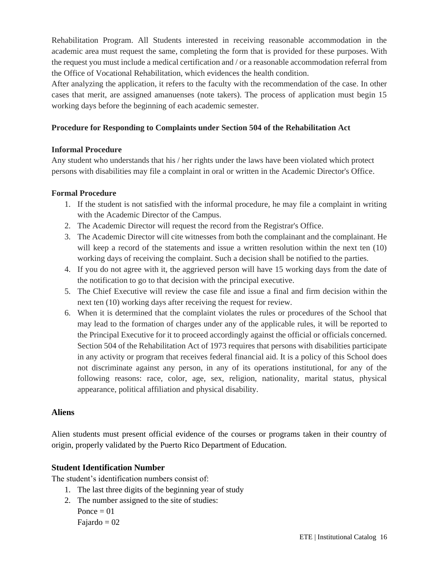Rehabilitation Program. All Students interested in receiving reasonable accommodation in the academic area must request the same, completing the form that is provided for these purposes. With the request you must include a medical certification and / or a reasonable accommodation referral from the Office of Vocational Rehabilitation, which evidences the health condition.

After analyzing the application, it refers to the faculty with the recommendation of the case. In other cases that merit, are assigned amanuenses (note takers). The process of application must begin 15 working days before the beginning of each academic semester.

## **Procedure for Responding to Complaints under Section 504 of the Rehabilitation Act**

## **Informal Procedure**

Any student who understands that his / her rights under the laws have been violated which protect persons with disabilities may file a complaint in oral or written in the Academic Director's Office.

## **Formal Procedure**

- 1. If the student is not satisfied with the informal procedure, he may file a complaint in writing with the Academic Director of the Campus.
- 2. The Academic Director will request the record from the Registrar's Office.
- 3. The Academic Director will cite witnesses from both the complainant and the complainant. He will keep a record of the statements and issue a written resolution within the next ten (10) working days of receiving the complaint. Such a decision shall be notified to the parties.
- 4. If you do not agree with it, the aggrieved person will have 15 working days from the date of the notification to go to that decision with the principal executive.
- 5. The Chief Executive will review the case file and issue a final and firm decision within the next ten (10) working days after receiving the request for review.
- 6. When it is determined that the complaint violates the rules or procedures of the School that may lead to the formation of charges under any of the applicable rules, it will be reported to the Principal Executive for it to proceed accordingly against the official or officials concerned. Section 504 of the Rehabilitation Act of 1973 requires that persons with disabilities participate in any activity or program that receives federal financial aid. It is a policy of this School does not discriminate against any person, in any of its operations institutional, for any of the following reasons: race, color, age, sex, religion, nationality, marital status, physical appearance, political affiliation and physical disability.

# **Aliens**

Alien students must present official evidence of the courses or programs taken in their country of origin, properly validated by the Puerto Rico Department of Education.

# **Student Identification Number**

The student's identification numbers consist of:

- 1. The last three digits of the beginning year of study
- 2. The number assigned to the site of studies: Ponce  $= 01$

Fajardo  $= 02$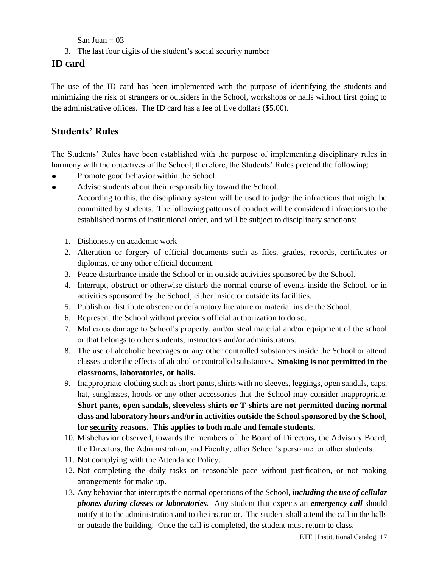San Juan  $= 03$ 

3. The last four digits of the student's social security number

# **ID card**

The use of the ID card has been implemented with the purpose of identifying the students and minimizing the risk of strangers or outsiders in the School, workshops or halls without first going to the administrative offices. The ID card has a fee of five dollars (\$5.00).

# **Students' Rules**

The Students' Rules have been established with the purpose of implementing disciplinary rules in harmony with the objectives of the School; therefore, the Students' Rules pretend the following:

- Promote good behavior within the School.
- Advise students about their responsibility toward the School. According to this, the disciplinary system will be used to judge the infractions that might be committed by students. The following patterns of conduct will be considered infractions to the established norms of institutional order, and will be subject to disciplinary sanctions:
	- 1. Dishonesty on academic work
	- 2. Alteration or forgery of official documents such as files, grades, records, certificates or diplomas, or any other official document.
	- 3. Peace disturbance inside the School or in outside activities sponsored by the School.
	- 4. Interrupt, obstruct or otherwise disturb the normal course of events inside the School, or in activities sponsored by the School, either inside or outside its facilities.
	- 5. Publish or distribute obscene or defamatory literature or material inside the School.
	- 6. Represent the School without previous official authorization to do so.
	- 7. Malicious damage to School's property, and/or steal material and/or equipment of the school or that belongs to other students, instructors and/or administrators.
	- 8. The use of alcoholic beverages or any other controlled substances inside the School or attend classes under the effects of alcohol or controlled substances. **Smoking is not permitted in the classrooms, laboratories, or halls**.
	- 9. Inappropriate clothing such as short pants, shirts with no sleeves, leggings, open sandals, caps, hat, sunglasses, hoods or any other accessories that the School may consider inappropriate. **Short pants, open sandals, sleeveless shirts or T-shirts are not permitted during normal class and laboratory hours and/or in activities outside the School sponsored by the School, for security reasons. This applies to both male and female students.**
	- 10. Misbehavior observed, towards the members of the Board of Directors, the Advisory Board, the Directors, the Administration, and Faculty, other School's personnel or other students.
	- 11. Not complying with the Attendance Policy.
	- 12. Not completing the daily tasks on reasonable pace without justification, or not making arrangements for make-up.
	- 13. Any behavior that interrupts the normal operations of the School, *including the use of cellular phones during classes or laboratories.* Any student that expects an *emergency call* should notify it to the administration and to the instructor. The student shall attend the call in the halls or outside the building. Once the call is completed, the student must return to class.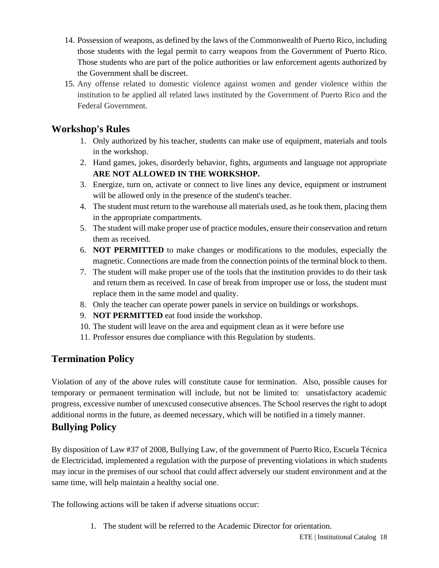- 14. Possession of weapons, as defined by the laws of the Commonwealth of Puerto Rico, including those students with the legal permit to carry weapons from the Government of Puerto Rico. Those students who are part of the police authorities or law enforcement agents authorized by the Government shall be discreet.
- 15. Any offense related to domestic violence against women and gender violence within the institution to be applied all related laws instituted by the Government of Puerto Rico and the Federal Government.

# **Workshop's Rules**

- 1. Only authorized by his teacher, students can make use of equipment, materials and tools in the workshop.
- 2. Hand games, jokes, disorderly behavior, fights, arguments and language not appropriate **ARE NOT ALLOWED IN THE WORKSHOP.**
- 3. Energize, turn on, activate or connect to live lines any device, equipment or instrument will be allowed only in the presence of the student's teacher.
- 4. The student must return to the warehouse all materials used, as he took them, placing them in the appropriate compartments.
- 5. The student will make proper use of practice modules, ensure their conservation and return them as received.
- 6. **NOT PERMITTED** to make changes or modifications to the modules, especially the magnetic. Connections are made from the connection points of the terminal block to them.
- 7. The student will make proper use of the tools that the institution provides to do their task and return them as received. In case of break from improper use or loss, the student must replace them in the same model and quality.
- 8. Only the teacher can operate power panels in service on buildings or workshops.
- 9. **NOT PERMITTED** eat food inside the workshop.
- 10. The student will leave on the area and equipment clean as it were before use
- 11. Professor ensures due compliance with this Regulation by students.

# **Termination Policy**

Violation of any of the above rules will constitute cause for termination. Also, possible causes for temporary or permanent termination will include, but not be limited to: unsatisfactory academic progress, excessive number of unexcused consecutive absences. The School reserves the right to adopt additional norms in the future, as deemed necessary, which will be notified in a timely manner.

# **Bullying Policy**

By disposition of Law #37 of 2008, Bullying Law, of the government of Puerto Rico, Escuela Técnica de Electricidad, implemented a regulation with the purpose of preventing violations in which students may incur in the premises of our school that could affect adversely our student environment and at the same time, will help maintain a healthy social one.

The following actions will be taken if adverse situations occur:

1. The student will be referred to the Academic Director for orientation.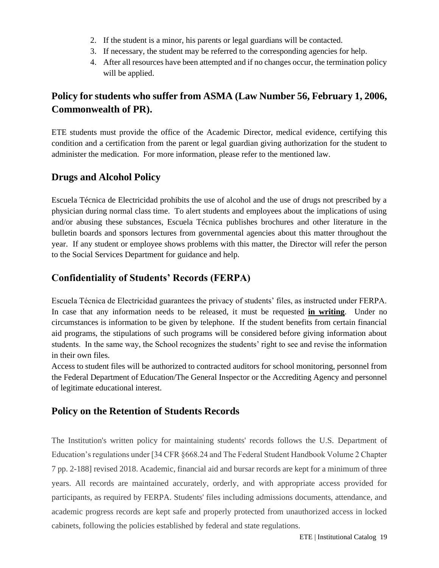- 2. If the student is a minor, his parents or legal guardians will be contacted.
- 3. If necessary, the student may be referred to the corresponding agencies for help.
- 4. After all resources have been attempted and if no changes occur, the termination policy will be applied.

# **Policy for students who suffer from ASMA (Law Number 56, February 1, 2006, Commonwealth of PR).**

ETE students must provide the office of the Academic Director, medical evidence, certifying this condition and a certification from the parent or legal guardian giving authorization for the student to administer the medication. For more information, please refer to the mentioned law.

# **Drugs and Alcohol Policy**

Escuela Técnica de Electricidad prohibits the use of alcohol and the use of drugs not prescribed by a physician during normal class time. To alert students and employees about the implications of using and/or abusing these substances, Escuela Técnica publishes brochures and other literature in the bulletin boards and sponsors lectures from governmental agencies about this matter throughout the year. If any student or employee shows problems with this matter, the Director will refer the person to the Social Services Department for guidance and help.

# **Confidentiality of Students' Records (FERPA)**

Escuela Técnica de Electricidad guarantees the privacy of students' files, as instructed under FERPA. In case that any information needs to be released, it must be requested **in writing**. Under no circumstances is information to be given by telephone. If the student benefits from certain financial aid programs, the stipulations of such programs will be considered before giving information about students. In the same way, the School recognizes the students' right to see and revise the information in their own files.

Access to student files will be authorized to contracted auditors for school monitoring, personnel from the Federal Department of Education/The General Inspector or the Accrediting Agency and personnel of legitimate educational interest.

# **Policy on the Retention of Students Records**

The Institution's written policy for maintaining students' records follows the U.S. Department of Education's regulations under [34 CFR §668.24 and The Federal Student Handbook Volume 2 Chapter 7 pp. 2-188] revised 2018. Academic, financial aid and bursar records are kept for a minimum of three years. All records are maintained accurately, orderly, and with appropriate access provided for participants, as required by FERPA. Students' files including admissions documents, attendance, and academic progress records are kept safe and properly protected from unauthorized access in locked cabinets, following the policies established by federal and state regulations.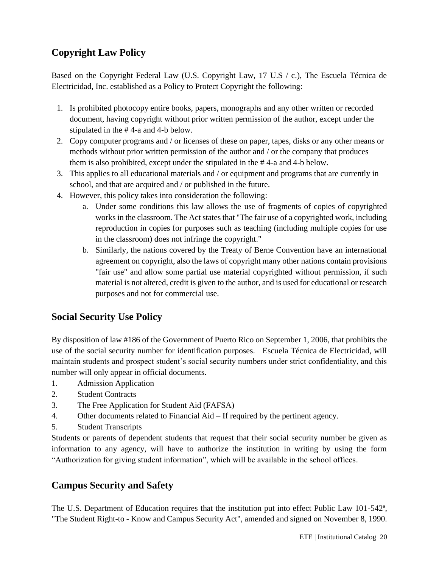# **Copyright Law Policy**

Based on the Copyright Federal Law (U.S. Copyright Law, 17 U.S / c.), The Escuela Técnica de Electricidad, Inc. established as a Policy to Protect Copyright the following:

- 1. Is prohibited photocopy entire books, papers, monographs and any other written or recorded document, having copyright without prior written permission of the author, except under the stipulated in the # 4-a and 4-b below.
- 2. Copy computer programs and / or licenses of these on paper, tapes, disks or any other means or methods without prior written permission of the author and / or the company that produces them is also prohibited, except under the stipulated in the # 4-a and 4-b below.
- 3. This applies to all educational materials and / or equipment and programs that are currently in school, and that are acquired and / or published in the future.
- 4. However, this policy takes into consideration the following:
	- a. Under some conditions this law allows the use of fragments of copies of copyrighted works in the classroom. The Act states that "The fair use of a copyrighted work, including reproduction in copies for purposes such as teaching (including multiple copies for use in the classroom) does not infringe the copyright."
	- b. Similarly, the nations covered by the Treaty of Berne Convention have an international agreement on copyright, also the laws of copyright many other nations contain provisions "fair use" and allow some partial use material copyrighted without permission, if such material is not altered, credit is given to the author, and is used for educational or research purposes and not for commercial use.

# **Social Security Use Policy**

By disposition of law #186 of the Government of Puerto Rico on September 1, 2006, that prohibits the use of the social security number for identification purposes. Escuela Técnica de Electricidad, will maintain students and prospect student's social security numbers under strict confidentiality, and this number will only appear in official documents.

- 1. Admission Application
- 2. Student Contracts
- 3. The Free Application for Student Aid (FAFSA)
- 4. Other documents related to Financial Aid If required by the pertinent agency.
- 5. Student Transcripts

Students or parents of dependent students that request that their social security number be given as information to any agency, will have to authorize the institution in writing by using the form "Authorization for giving student information", which will be available in the school offices.

# <span id="page-19-0"></span>**Campus Security and Safety**

The U.S. Department of Education requires that the institution put into effect Public Law 101-542<sup>a</sup>, "The Student Right-to - Know and Campus Security Act", amended and signed on November 8, 1990.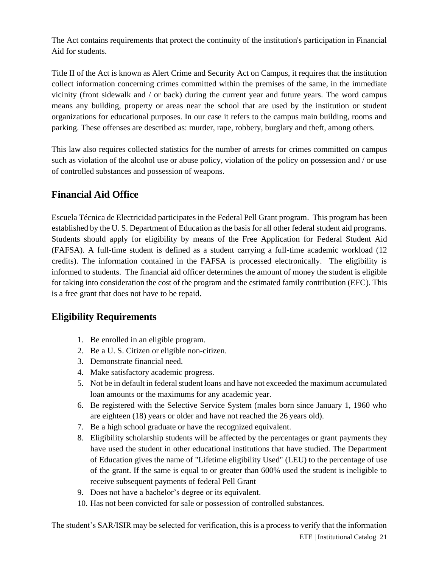The Act contains requirements that protect the continuity of the institution's participation in Financial Aid for students.

Title II of the Act is known as Alert Crime and Security Act on Campus, it requires that the institution collect information concerning crimes committed within the premises of the same, in the immediate vicinity (front sidewalk and / or back) during the current year and future years. The word campus means any building, property or areas near the school that are used by the institution or student organizations for educational purposes. In our case it refers to the campus main building, rooms and parking. These offenses are described as: murder, rape, robbery, burglary and theft, among others.

This law also requires collected statistics for the number of arrests for crimes committed on campus such as violation of the alcohol use or abuse policy, violation of the policy on possession and / or use of controlled substances and possession of weapons.

# **Financial Aid Office**

Escuela Técnica de Electricidad participates in the Federal Pell Grant program. This program has been established by the U. S. Department of Education as the basis for all other federal student aid programs. Students should apply for eligibility by means of the Free Application for Federal Student Aid (FAFSA). A full-time student is defined as a student carrying a full-time academic workload (12 credits). The information contained in the FAFSA is processed electronically. The eligibility is informed to students. The financial aid officer determines the amount of money the student is eligible for taking into consideration the cost of the program and the estimated family contribution (EFC). This is a free grant that does not have to be repaid.

# **Eligibility Requirements**

- 1. Be enrolled in an eligible program.
- 2. Be a U. S. Citizen or eligible non-citizen.
- 3. Demonstrate financial need.
- 4. Make satisfactory academic progress.
- 5. Not be in default in federal student loans and have not exceeded the maximum accumulated loan amounts or the maximums for any academic year.
- 6. Be registered with the Selective Service System (males born since January 1, 1960 who are eighteen (18) years or older and have not reached the 26 years old).
- 7. Be a high school graduate or have the recognized equivalent.
- 8. Eligibility scholarship students will be affected by the percentages or grant payments they have used the student in other educational institutions that have studied. The Department of Education gives the name of "Lifetime eligibility Used" (LEU) to the percentage of use of the grant. If the same is equal to or greater than 600% used the student is ineligible to receive subsequent payments of federal Pell Grant
- 9. Does not have a bachelor's degree or its equivalent.
- 10. Has not been convicted for sale or possession of controlled substances.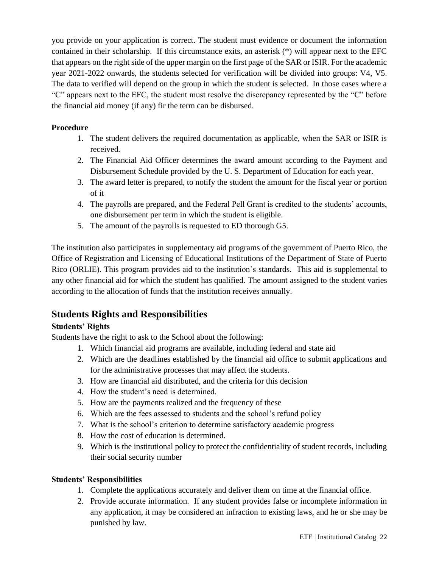you provide on your application is correct. The student must evidence or document the information contained in their scholarship. If this circumstance exits, an asterisk (\*) will appear next to the EFC that appears on the right side of the upper margin on the first page of the SAR or ISIR. For the academic year 2021-2022 onwards, the students selected for verification will be divided into groups: V4, V5. The data to verified will depend on the group in which the student is selected. In those cases where a "C" appears next to the EFC, the student must resolve the discrepancy represented by the "C" before the financial aid money (if any) fir the term can be disbursed.

# **Procedure**

- 1. The student delivers the required documentation as applicable, when the SAR or ISIR is received.
- 2. The Financial Aid Officer determines the award amount according to the Payment and Disbursement Schedule provided by the U. S. Department of Education for each year.
- 3. The award letter is prepared, to notify the student the amount for the fiscal year or portion of it
- 4. The payrolls are prepared, and the Federal Pell Grant is credited to the students' accounts, one disbursement per term in which the student is eligible.
- 5. The amount of the payrolls is requested to ED thorough G5.

The institution also participates in supplementary aid programs of the government of Puerto Rico, the Office of Registration and Licensing of Educational Institutions of the Department of State of Puerto Rico (ORLIE). This program provides aid to the institution's standards. This aid is supplemental to any other financial aid for which the student has qualified. The amount assigned to the student varies according to the allocation of funds that the institution receives annually.

# **Students Rights and Responsibilities**

# **Students' Rights**

Students have the right to ask to the School about the following:

- 1. Which financial aid programs are available, including federal and state aid
- 2. Which are the deadlines established by the financial aid office to submit applications and for the administrative processes that may affect the students.
- 3. How are financial aid distributed, and the criteria for this decision
- 4. How the student's need is determined.
- 5. How are the payments realized and the frequency of these
- 6. Which are the fees assessed to students and the school's refund policy
- 7. What is the school's criterion to determine satisfactory academic progress
- 8. How the cost of education is determined.
- 9. Which is the institutional policy to protect the confidentiality of student records, including their social security number

# **Students' Responsibilities**

- 1. Complete the applications accurately and deliver them on time at the financial office.
- 2. Provide accurate information. If any student provides false or incomplete information in any application, it may be considered an infraction to existing laws, and he or she may be punished by law.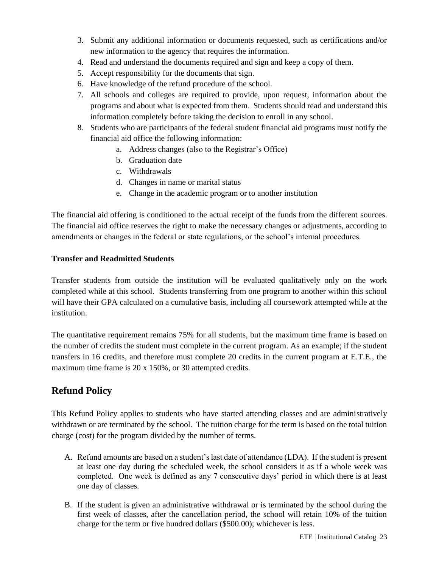- 3. Submit any additional information or documents requested, such as certifications and/or new information to the agency that requires the information.
- 4. Read and understand the documents required and sign and keep a copy of them.
- 5. Accept responsibility for the documents that sign.
- 6. Have knowledge of the refund procedure of the school.
- 7. All schools and colleges are required to provide, upon request, information about the programs and about what is expected from them. Students should read and understand this information completely before taking the decision to enroll in any school.
- 8. Students who are participants of the federal student financial aid programs must notify the financial aid office the following information:
	- a. Address changes (also to the Registrar's Office)
	- b. Graduation date
	- c. Withdrawals
	- d. Changes in name or marital status
	- e. Change in the academic program or to another institution

The financial aid offering is conditioned to the actual receipt of the funds from the different sources. The financial aid office reserves the right to make the necessary changes or adjustments, according to amendments or changes in the federal or state regulations, or the school's internal procedures.

#### **Transfer and Readmitted Students**

Transfer students from outside the institution will be evaluated qualitatively only on the work completed while at this school*.* Students transferring from one program to another within this school will have their GPA calculated on a cumulative basis, including all coursework attempted while at the institution.

The quantitative requirement remains 75% for all students, but the maximum time frame is based on the number of credits the student must complete in the current program. As an example; if the student transfers in 16 credits, and therefore must complete 20 credits in the current program at E.T.E., the maximum time frame is 20 x 150%, or 30 attempted credits.

# <span id="page-22-0"></span>**Refund Policy**

This Refund Policy applies to students who have started attending classes and are administratively withdrawn or are terminated by the school. The tuition charge for the term is based on the total tuition charge (cost) for the program divided by the number of terms.

- A. Refund amounts are based on a student's last date of attendance (LDA). If the student is present at least one day during the scheduled week, the school considers it as if a whole week was completed. One week is defined as any 7 consecutive days' period in which there is at least one day of classes.
- B. If the student is given an administrative withdrawal or is terminated by the school during the first week of classes, after the cancellation period, the school will retain 10% of the tuition charge for the term or five hundred dollars (\$500.00); whichever is less.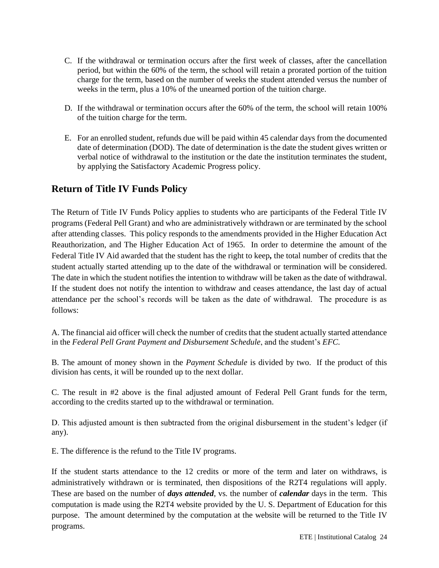- C. If the withdrawal or termination occurs after the first week of classes, after the cancellation period, but within the 60% of the term, the school will retain a prorated portion of the tuition charge for the term, based on the number of weeks the student attended versus the number of weeks in the term, plus a 10% of the unearned portion of the tuition charge.
- D. If the withdrawal or termination occurs after the 60% of the term, the school will retain 100% of the tuition charge for the term.
- E. For an enrolled student, refunds due will be paid within 45 calendar days from the documented date of determination (DOD). The date of determination is the date the student gives written or verbal notice of withdrawal to the institution or the date the institution terminates the student, by applying the Satisfactory Academic Progress policy.

# **Return of Title IV Funds Policy**

The Return of Title IV Funds Policy applies to students who are participants of the Federal Title IV programs (Federal Pell Grant) and who are administratively withdrawn or are terminated by the school after attending classes. This policy responds to the amendments provided in the Higher Education Act Reauthorization, and The Higher Education Act of 1965. In order to determine the amount of the Federal Title IV Aid awarded that the student has the right to keep*,* the total number of credits that the student actually started attending up to the date of the withdrawal or termination will be considered. The date in which the student notifies the intention to withdraw will be taken as the date of withdrawal. If the student does not notify the intention to withdraw and ceases attendance, the last day of actual attendance per the school's records will be taken as the date of withdrawal. The procedure is as follows:

A. The financial aid officer will check the number of credits that the student actually started attendance in the *Federal Pell Grant Payment and Disbursement Schedule*, and the student's *EFC.*

B. The amount of money shown in the *Payment Schedule* is divided by two. If the product of this division has cents, it will be rounded up to the next dollar.

C. The result in #2 above is the final adjusted amount of Federal Pell Grant funds for the term, according to the credits started up to the withdrawal or termination.

D. This adjusted amount is then subtracted from the original disbursement in the student's ledger (if any).

E. The difference is the refund to the Title IV programs.

If the student starts attendance to the 12 credits or more of the term and later on withdraws, is administratively withdrawn or is terminated, then dispositions of the R2T4 regulations will apply. These are based on the number of *days attended*, vs. the number of *calendar* days in the term. This computation is made using the R2T4 website provided by the U. S. Department of Education for this purpose. The amount determined by the computation at the website will be returned to the Title IV programs.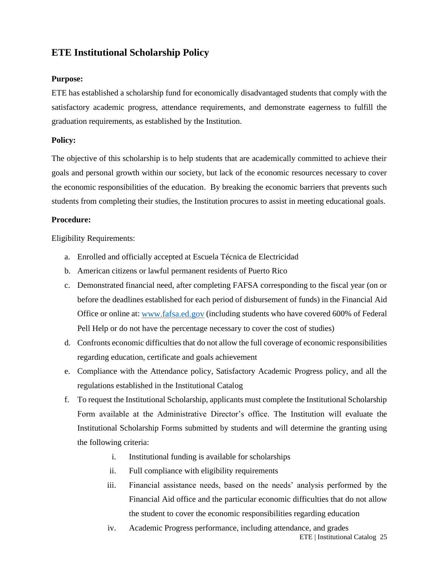# **ETE Institutional Scholarship Policy**

#### **Purpose:**

ETE has established a scholarship fund for economically disadvantaged students that comply with the satisfactory academic progress, attendance requirements, and demonstrate eagerness to fulfill the graduation requirements, as established by the Institution.

#### **Policy:**

The objective of this scholarship is to help students that are academically committed to achieve their goals and personal growth within our society, but lack of the economic resources necessary to cover the economic responsibilities of the education. By breaking the economic barriers that prevents such students from completing their studies, the Institution procures to assist in meeting educational goals.

#### **Procedure:**

Eligibility Requirements:

- a. Enrolled and officially accepted at Escuela Técnica de Electricidad
- b. American citizens or lawful permanent residents of Puerto Rico
- c. Demonstrated financial need, after completing FAFSA corresponding to the fiscal year (on or before the deadlines established for each period of disbursement of funds) in the Financial Aid Office or online at: [www.fafsa.ed.gov](http://www.fafsa.ed.gov/) (including students who have covered 600% of Federal Pell Help or do not have the percentage necessary to cover the cost of studies)
- d. Confronts economic difficulties that do not allow the full coverage of economic responsibilities regarding education, certificate and goals achievement
- e. Compliance with the Attendance policy, Satisfactory Academic Progress policy, and all the regulations established in the Institutional Catalog
- f. To request the Institutional Scholarship, applicants must complete the Institutional Scholarship Form available at the Administrative Director's office. The Institution will evaluate the Institutional Scholarship Forms submitted by students and will determine the granting using the following criteria:
	- i. Institutional funding is available for scholarships
	- ii. Full compliance with eligibility requirements
	- iii. Financial assistance needs, based on the needs' analysis performed by the Financial Aid office and the particular economic difficulties that do not allow the student to cover the economic responsibilities regarding education
	- ETE | Institutional Catalog 25 iv. Academic Progress performance, including attendance, and grades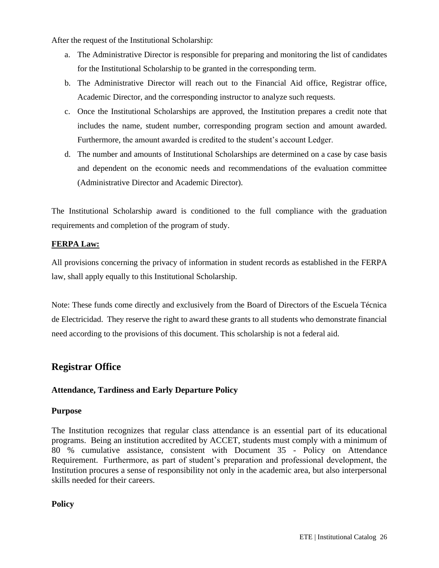After the request of the Institutional Scholarship:

- a. The Administrative Director is responsible for preparing and monitoring the list of candidates for the Institutional Scholarship to be granted in the corresponding term.
- b. The Administrative Director will reach out to the Financial Aid office, Registrar office, Academic Director, and the corresponding instructor to analyze such requests.
- c. Once the Institutional Scholarships are approved, the Institution prepares a credit note that includes the name, student number, corresponding program section and amount awarded. Furthermore, the amount awarded is credited to the student's account Ledger.
- d. The number and amounts of Institutional Scholarships are determined on a case by case basis and dependent on the economic needs and recommendations of the evaluation committee (Administrative Director and Academic Director).

The Institutional Scholarship award is conditioned to the full compliance with the graduation requirements and completion of the program of study.

## **FERPA Law:**

All provisions concerning the privacy of information in student records as established in the FERPA law, shall apply equally to this Institutional Scholarship.

Note: These funds come directly and exclusively from the Board of Directors of the Escuela Técnica de Electricidad. They reserve the right to award these grants to all students who demonstrate financial need according to the provisions of this document. This scholarship is not a federal aid.

# **Registrar Office**

#### **Attendance, Tardiness and Early Departure Policy**

#### **Purpose**

The Institution recognizes that regular class attendance is an essential part of its educational programs. Being an institution accredited by ACCET, students must comply with a minimum of 80 % cumulative assistance, consistent with Document 35 - Policy on Attendance Requirement. Furthermore, as part of student's preparation and professional development, the Institution procures a sense of responsibility not only in the academic area, but also interpersonal skills needed for their careers.

#### **Policy**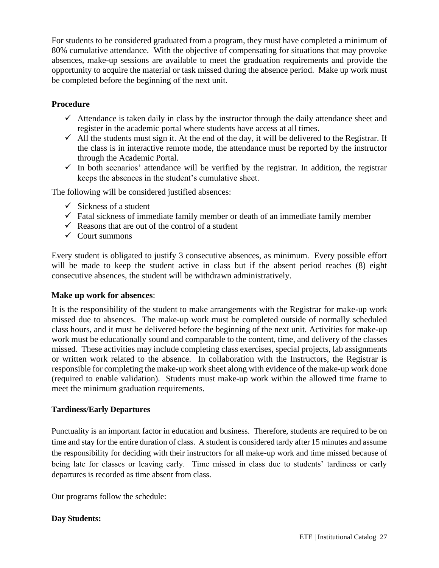For students to be considered graduated from a program, they must have completed a minimum of 80% cumulative attendance. With the objective of compensating for situations that may provoke absences, make-up sessions are available to meet the graduation requirements and provide the opportunity to acquire the material or task missed during the absence period. Make up work must be completed before the beginning of the next unit.

## **Procedure**

- $\checkmark$  Attendance is taken daily in class by the instructor through the daily attendance sheet and register in the academic portal where students have access at all times.
- $\checkmark$  All the students must sign it. At the end of the day, it will be delivered to the Registrar. If the class is in interactive remote mode, the attendance must be reported by the instructor through the Academic Portal.
- $\checkmark$  In both scenarios' attendance will be verified by the registrar. In addition, the registrar keeps the absences in the student's cumulative sheet.

The following will be considered justified absences:

- $\checkmark$  Sickness of a student
- $\checkmark$  Fatal sickness of immediate family member or death of an immediate family member
- $\checkmark$  Reasons that are out of the control of a student
- $\checkmark$  Court summons

Every student is obligated to justify 3 consecutive absences, as minimum. Every possible effort will be made to keep the student active in class but if the absent period reaches  $(8)$  eight consecutive absences, the student will be withdrawn administratively.

#### **Make up work for absences**:

It is the responsibility of the student to make arrangements with the Registrar for make-up work missed due to absences. The make-up work must be completed outside of normally scheduled class hours, and it must be delivered before the beginning of the next unit. Activities for make-up work must be educationally sound and comparable to the content, time, and delivery of the classes missed. These activities may include completing class exercises, special projects, lab assignments or written work related to the absence. In collaboration with the Instructors, the Registrar is responsible for completing the make-up work sheet along with evidence of the make-up work done (required to enable validation). Students must make-up work within the allowed time frame to meet the minimum graduation requirements.

#### **Tardiness/Early Departures**

Punctuality is an important factor in education and business. Therefore, students are required to be on time and stay for the entire duration of class. A student is considered tardy after 15 minutes and assume the responsibility for deciding with their instructors for all make-up work and time missed because of being late for classes or leaving early. Time missed in class due to students' tardiness or early departures is recorded as time absent from class.

Our programs follow the schedule:

#### **Day Students:**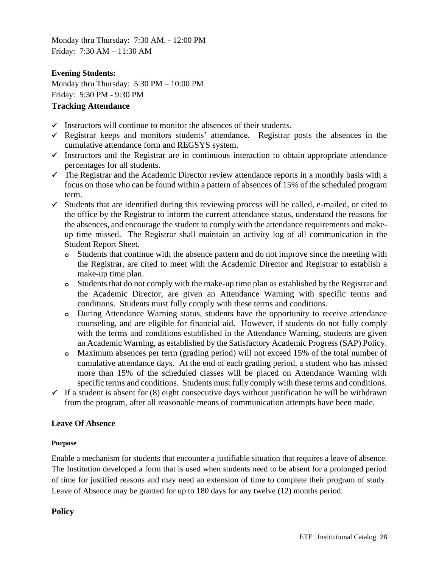Monday thru Thursday: 7:30 AM. - 12:00 PM Friday: 7:30 AM – 11:30 AM

## **Evening Students:**

Monday thru Thursday: 5:30 PM – 10:00 PM Friday: 5:30 PM - 9:30 PM

## **Tracking Attendance**

- $\checkmark$  Instructors will continue to monitor the absences of their students.
- $\checkmark$  Registrar keeps and monitors students' attendance. Registrar posts the absences in the cumulative attendance form and REGSYS system.
- ✓ Instructors and the Registrar are in continuous interaction to obtain appropriate attendance percentages for all students.
- $\checkmark$  The Registrar and the Academic Director review attendance reports in a monthly basis with a focus on those who can be found within a pattern of absences of 15% of the scheduled program term.
- ✓ Students that are identified during this reviewing process will be called, e-mailed, or cited to the office by the Registrar to inform the current attendance status, understand the reasons for the absences, and encourage the student to comply with the attendance requirements and makeup time missed. The Registrar shall maintain an activity log of all communication in the Student Report Sheet.
	- **o** Students that continue with the absence pattern and do not improve since the meeting with the Registrar, are cited to meet with the Academic Director and Registrar to establish a make-up time plan.
	- **o** Students that do not comply with the make-up time plan as established by the Registrar and the Academic Director, are given an Attendance Warning with specific terms and conditions. Students must fully comply with these terms and conditions.
	- **o** During Attendance Warning status, students have the opportunity to receive attendance counseling, and are eligible for financial aid. However, if students do not fully comply with the terms and conditions established in the Attendance Warning, students are given an Academic Warning, as established by the Satisfactory Academic Progress (SAP) Policy.
	- **o** Maximum absences per term (grading period) will not exceed 15% of the total number of cumulative attendance days. At the end of each grading period, a student who has missed more than 15% of the scheduled classes will be placed on Attendance Warning with specific terms and conditions. Students must fully comply with these terms and conditions.
- $\checkmark$  If a student is absent for (8) eight consecutive days without justification he will be withdrawn from the program, after all reasonable means of communication attempts have been made.

# **Leave Of Absence**

#### **Purpose**

Enable a mechanism for students that encounter a justifiable situation that requires a leave of absence. The Institution developed a form that is used when students need to be absent for a prolonged period of time for justified reasons and may need an extension of time to complete their program of study. Leave of Absence may be granted for up to 180 days for any twelve (12) months period.

#### **Policy**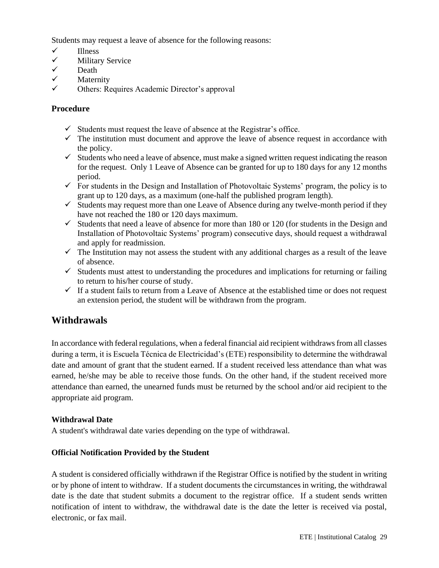Students may request a leave of absence for the following reasons:

- ✓ Illness
- **Military Service**
- 
- ✓ Death Maternity
- ✓ Others: Requires Academic Director's approval

## **Procedure**

- $\checkmark$  Students must request the leave of absence at the Registrar's office.
- $\checkmark$  The institution must document and approve the leave of absence request in accordance with the policy.
- $\checkmark$  Students who need a leave of absence, must make a signed written request indicating the reason for the request. Only 1 Leave of Absence can be granted for up to 180 days for any 12 months period.
- $\checkmark$  For students in the Design and Installation of Photovoltaic Systems' program, the policy is to grant up to 120 days, as a maximum (one-half the published program length).
- $\checkmark$  Students may request more than one Leave of Absence during any twelve-month period if they have not reached the 180 or 120 days maximum.
- $\checkmark$  Students that need a leave of absence for more than 180 or 120 (for students in the Design and Installation of Photovoltaic Systems' program) consecutive days, should request a withdrawal and apply for readmission.
- $\checkmark$  The Institution may not assess the student with any additional charges as a result of the leave of absence.
- $\checkmark$  Students must attest to understanding the procedures and implications for returning or failing to return to his/her course of study.
- $\checkmark$  If a student fails to return from a Leave of Absence at the established time or does not request an extension period, the student will be withdrawn from the program.

# **Withdrawals**

In accordance with federal regulations, when a federal financial aid recipient withdraws from all classes during a term, it is Escuela Técnica de Electricidad's (ETE) responsibility to determine the withdrawal date and amount of grant that the student earned. If a student received less attendance than what was earned, he/she may be able to receive those funds. On the other hand, if the student received more attendance than earned, the unearned funds must be returned by the school and/or aid recipient to the appropriate aid program.

#### **Withdrawal Date**

A student's withdrawal date varies depending on the type of withdrawal.

#### **Official Notification Provided by the Student**

A student is considered officially withdrawn if the Registrar Office is notified by the student in writing or by phone of intent to withdraw. If a student documents the circumstances in writing, the withdrawal date is the date that student submits a document to the registrar office. If a student sends written notification of intent to withdraw, the withdrawal date is the date the letter is received via postal, electronic, or fax mail.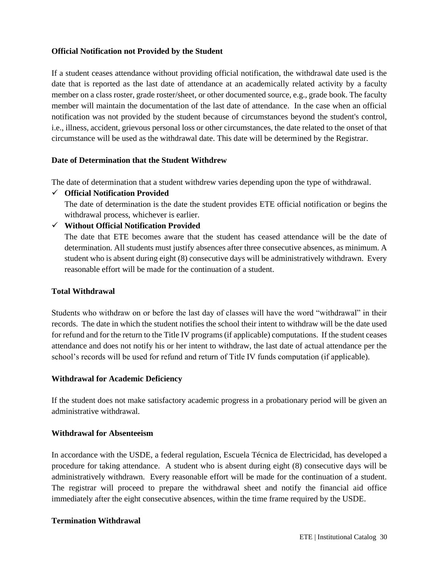#### **Official Notification not Provided by the Student**

If a student ceases attendance without providing official notification, the withdrawal date used is the date that is reported as the last date of attendance at an academically related activity by a faculty member on a class roster, grade roster/sheet, or other documented source, e.g., grade book. The faculty member will maintain the documentation of the last date of attendance. In the case when an official notification was not provided by the student because of circumstances beyond the student's control, i.e., illness, accident, grievous personal loss or other circumstances, the date related to the onset of that circumstance will be used as the withdrawal date. This date will be determined by the Registrar.

#### **Date of Determination that the Student Withdrew**

The date of determination that a student withdrew varies depending upon the type of withdrawal.

✓ **Official Notification Provided**

The date of determination is the date the student provides ETE official notification or begins the withdrawal process, whichever is earlier.

#### ✓ **Without Official Notification Provided**

The date that ETE becomes aware that the student has ceased attendance will be the date of determination. All students must justify absences after three consecutive absences, as minimum. A student who is absent during eight (8) consecutive days will be administratively withdrawn. Every reasonable effort will be made for the continuation of a student.

#### **Total Withdrawal**

Students who withdraw on or before the last day of classes will have the word "withdrawal" in their records. The date in which the student notifies the school their intent to withdraw will be the date used for refund and for the return to the Title IV programs (if applicable) computations. If the student ceases attendance and does not notify his or her intent to withdraw, the last date of actual attendance per the school's records will be used for refund and return of Title IV funds computation (if applicable).

#### **Withdrawal for Academic Deficiency**

If the student does not make satisfactory academic progress in a probationary period will be given an administrative withdrawal.

#### **Withdrawal for Absenteeism**

In accordance with the USDE, a federal regulation, Escuela Técnica de Electricidad, has developed a procedure for taking attendance. A student who is absent during eight (8) consecutive days will be administratively withdrawn. Every reasonable effort will be made for the continuation of a student. The registrar will proceed to prepare the withdrawal sheet and notify the financial aid office immediately after the eight consecutive absences, within the time frame required by the USDE.

#### **Termination Withdrawal**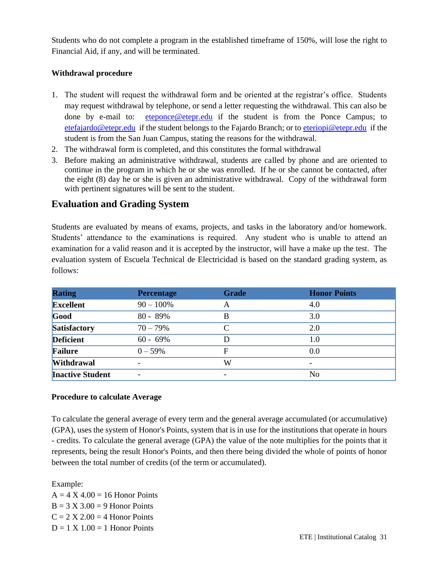Students who do not complete a program in the established timeframe of 150%, will lose the right to Financial Aid, if any, and will be terminated.

## **Withdrawal procedure**

- 1. The student will request the withdrawal form and be oriented at the registrar's office. Students may request withdrawal by telephone, or send a letter requesting the withdrawal. This can also be done by e-mail to: [eteponce@etepr.edu](mailto:eteponce@etepr.edu) if the student is from the Ponce Campus; to [etefajardo@etepr.edu](mailto:etefajardo@etepr.edu) if the student belongs to the Fajardo Branch; or to [eteriopi@etepr.edu](mailto:eteriopi@etepr.edu) if the student is from the San Juan Campus, stating the reasons for the withdrawal.
- 2. The withdrawal form is completed, and this constitutes the formal withdrawal
- 3. Before making an administrative withdrawal, students are called by phone and are oriented to continue in the program in which he or she was enrolled. If he or she cannot be contacted, after the eight (8) day he or she is given an administrative withdrawal. Copy of the withdrawal form with pertinent signatures will be sent to the student.

# **Evaluation and Grading System**

Students are evaluated by means of exams, projects, and tasks in the laboratory and/or homework. Students' attendance to the examinations is required. Any student who is unable to attend an examination for a valid reason and it is accepted by the instructor, will have a make up the test. The evaluation system of Escuela Technical de Electricidad is based on the standard grading system, as follows:

| <b>Rating</b>           | <b>Percentage</b> | <b>Grade</b> | <b>Honor Points</b> |
|-------------------------|-------------------|--------------|---------------------|
| <b>Excellent</b>        | $90 - 100\%$      | A            | 4.0                 |
| Good                    | $80 - 89%$        | В            | 3.0                 |
| Satisfactory            | $70 - 79%$        | C            | 2.0                 |
| <b>Deficient</b>        | $60 - 69\%$       |              | 1.0                 |
| Failure                 | $0 - 59\%$        | F            | 0.0                 |
| <b>Withdrawal</b>       |                   | W            |                     |
| <b>Inactive Student</b> |                   |              | No                  |

#### **Procedure to calculate Average**

To calculate the general average of every term and the general average accumulated (or accumulative) (GPA), uses the system of Honor's Points, system that is in use for the institutions that operate in hours - credits. To calculate the general average (GPA) the value of the note multiplies for the points that it represents, being the result Honor's Points, and then there being divided the whole of points of honor between the total number of credits (of the term or accumulated).

#### Example:

 $A = 4 X 4.00 = 16$  Honor Points  $B = 3 X 3.00 = 9$  Honor Points  $C = 2 X 2.00 = 4$  Honor Points  $D = 1 X 1.00 = 1$  Honor Points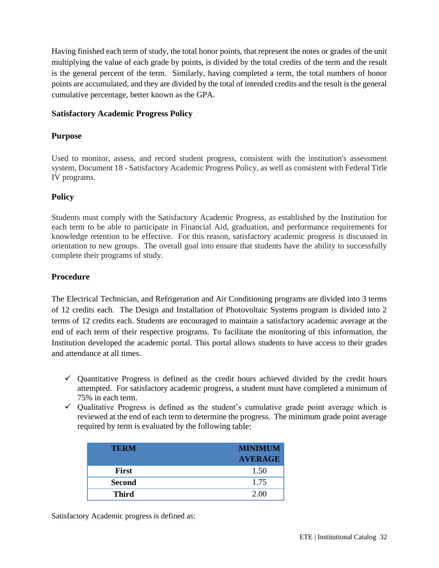Having finished each term of study, the total honor points, that represent the notes or grades of the unit multiplying the value of each grade by points, is divided by the total credits of the term and the result is the general percent of the term. Similarly, having completed a term, the total numbers of honor points are accumulated, and they are divided by the total of intended credits and the result is the general cumulative percentage, better known as the GPA.

## **Satisfactory Academic Progress Policy**

## **Purpose**

Used to monitor, assess, and record student progress, consistent with the institution's assessment system, Document 18 - Satisfactory Academic Progress Policy, as well as consistent with Federal Title IV programs.

## **Policy**

Students must comply with the Satisfactory Academic Progress, as established by the Institution for each term to be able to participate in Financial Aid, graduation, and performance requirements for knowledge retention to be effective. For this reason, satisfactory academic progress is discussed in orientation to new groups. The overall goal into ensure that students have the ability to successfully complete their programs of study.

## **Procedure**

The Electrical Technician, and Refrigeration and Air Conditioning programs are divided into 3 terms of 12 credits each. The Design and Installation of Photovoltaic Systems program is divided into 2 terms of 12 credits each. Students are encouraged to maintain a satisfactory academic average at the end of each term of their respective programs. To facilitate the monitoring of this information, the Institution developed the academic portal. This portal allows students to have access to their grades and attendance at all times.

- $\checkmark$  Quantitative Progress is defined as the credit hours achieved divided by the credit hours attempted. For satisfactory academic progress, a student must have completed a minimum of 75% in each term.
- $\checkmark$  Qualitative Progress is defined as the student's cumulative grade point average which is reviewed at the end of each term to determine the progress. The minimum grade point average required by term is evaluated by the following table:

| <b>TERM</b>   | <b>MINIMUM</b> |
|---------------|----------------|
|               | <b>AVERAGE</b> |
| <b>First</b>  | 1.50           |
| <b>Second</b> | 1.75           |
| <b>Third</b>  | 2.00           |

Satisfactory Academic progress is defined as: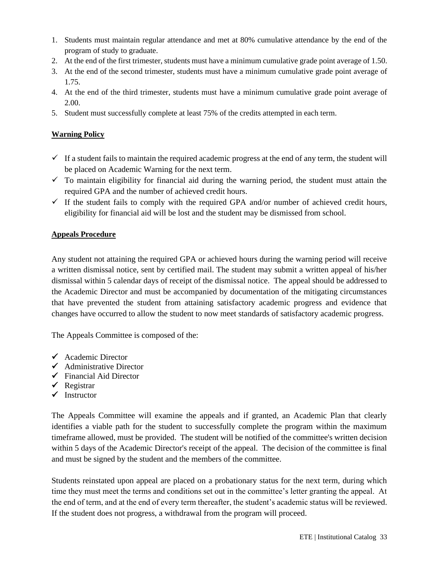- 1. Students must maintain regular attendance and met at 80% cumulative attendance by the end of the program of study to graduate.
- 2. At the end of the first trimester, students must have a minimum cumulative grade point average of 1.50.
- 3. At the end of the second trimester, students must have a minimum cumulative grade point average of 1.75.
- 4. At the end of the third trimester, students must have a minimum cumulative grade point average of 2.00.
- 5. Student must successfully complete at least 75% of the credits attempted in each term.

## **Warning Policy**

- $\checkmark$  If a student fails to maintain the required academic progress at the end of any term, the student will be placed on Academic Warning for the next term.
- $\checkmark$  To maintain eligibility for financial aid during the warning period, the student must attain the required GPA and the number of achieved credit hours.
- $\checkmark$  If the student fails to comply with the required GPA and/or number of achieved credit hours, eligibility for financial aid will be lost and the student may be dismissed from school.

#### **Appeals Procedure**

Any student not attaining the required GPA or achieved hours during the warning period will receive a written dismissal notice, sent by certified mail. The student may submit a written appeal of his/her dismissal within 5 calendar days of receipt of the dismissal notice. The appeal should be addressed to the Academic Director and must be accompanied by documentation of the mitigating circumstances that have prevented the student from attaining satisfactory academic progress and evidence that changes have occurred to allow the student to now meet standards of satisfactory academic progress.

The Appeals Committee is composed of the:

- ✓ Academic Director
- $\checkmark$  Administrative Director
- $\checkmark$  Financial Aid Director
- $\checkmark$  Registrar
- ✓ Instructor

The Appeals Committee will examine the appeals and if granted, an Academic Plan that clearly identifies a viable path for the student to successfully complete the program within the maximum timeframe allowed, must be provided. The student will be notified of the committee's written decision within 5 days of the Academic Director's receipt of the appeal. The decision of the committee is final and must be signed by the student and the members of the committee.

Students reinstated upon appeal are placed on a probationary status for the next term, during which time they must meet the terms and conditions set out in the committee's letter granting the appeal. At the end of term, and at the end of every term thereafter, the student's academic status will be reviewed. If the student does not progress, a withdrawal from the program will proceed.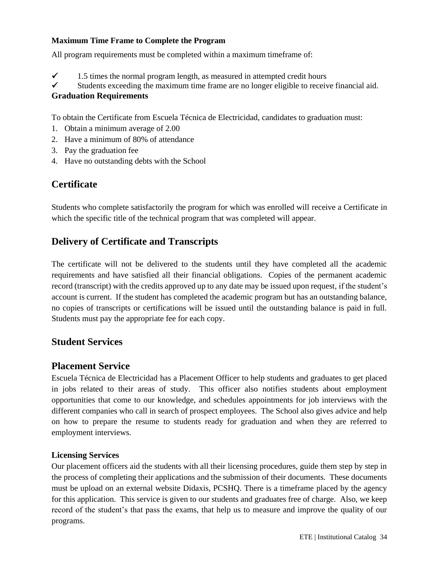#### **Maximum Time Frame to Complete the Program**

All program requirements must be completed within a maximum timeframe of:

 $\checkmark$  1.5 times the normal program length, as measured in attempted credit hours

## ✓ Students exceeding the maximum time frame are no longer eligible to receive financial aid. **Graduation Requirements**

To obtain the Certificate from Escuela Técnica de Electricidad, candidates to graduation must:

- 1. Obtain a minimum average of 2.00
- 2. Have a minimum of 80% of attendance
- 3. Pay the graduation fee
- 4. Have no outstanding debts with the School

# **Certificate**

Students who complete satisfactorily the program for which was enrolled will receive a Certificate in which the specific title of the technical program that was completed will appear.

# **Delivery of Certificate and Transcripts**

The certificate will not be delivered to the students until they have completed all the academic requirements and have satisfied all their financial obligations. Copies of the permanent academic record (transcript) with the credits approved up to any date may be issued upon request, if the student's account is current. If the student has completed the academic program but has an outstanding balance, no copies of transcripts or certifications will be issued until the outstanding balance is paid in full. Students must pay the appropriate fee for each copy.

# **Student Services**

# **Placement Service**

Escuela Técnica de Electricidad has a Placement Officer to help students and graduates to get placed in jobs related to their areas of study. This officer also notifies students about employment opportunities that come to our knowledge, and schedules appointments for job interviews with the different companies who call in search of prospect employees. The School also gives advice and help on how to prepare the resume to students ready for graduation and when they are referred to employment interviews.

# **Licensing Services**

Our placement officers aid the students with all their licensing procedures, guide them step by step in the process of completing their applications and the submission of their documents. These documents must be upload on an external website Didaxis, PCSHQ. There is a timeframe placed by the agency for this application. This service is given to our students and graduates free of charge. Also, we keep record of the student's that pass the exams, that help us to measure and improve the quality of our programs.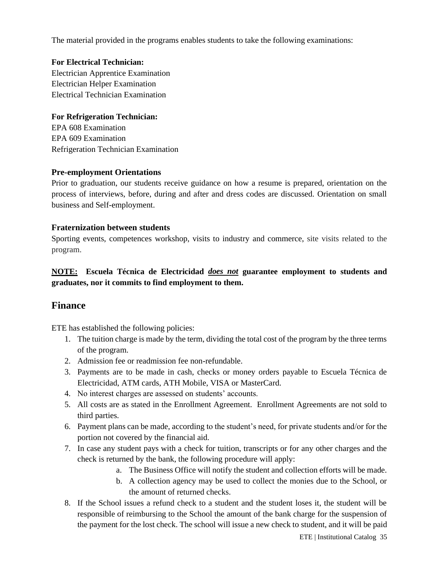The material provided in the programs enables students to take the following examinations:

#### **For Electrical Technician:**

Electrician Apprentice Examination Electrician Helper Examination Electrical Technician Examination

## **For Refrigeration Technician:**

EPA 608 Examination EPA 609 Examination Refrigeration Technician Examination

#### **Pre-employment Orientations**

Prior to graduation, our students receive guidance on how a resume is prepared, orientation on the process of interviews, before, during and after and dress codes are discussed. Orientation on small business and Self-employment.

#### **Fraternization between students**

Sporting events, competences workshop, visits to industry and commerce, site visits related to the program.

# **NOTE: Escuela Técnica de Electricidad** *does not* **guarantee employment to students and graduates, nor it commits to find employment to them.**

# **Finance**

ETE has established the following policies:

- 1. The tuition charge is made by the term, dividing the total cost of the program by the three terms of the program.
- 2. Admission fee or readmission fee non-refundable.
- 3. Payments are to be made in cash, checks or money orders payable to Escuela Técnica de Electricidad, ATM cards, ATH Mobile, VISA or MasterCard.
- 4. No interest charges are assessed on students' accounts.
- 5. All costs are as stated in the Enrollment Agreement. Enrollment Agreements are not sold to third parties.
- 6. Payment plans can be made, according to the student's need, for private students and/or for the portion not covered by the financial aid.
- 7. In case any student pays with a check for tuition, transcripts or for any other charges and the check is returned by the bank, the following procedure will apply:
	- a. The Business Office will notify the student and collection efforts will be made.
	- b. A collection agency may be used to collect the monies due to the School, or the amount of returned checks.
- 8. If the School issues a refund check to a student and the student loses it, the student will be responsible of reimbursing to the School the amount of the bank charge for the suspension of the payment for the lost check. The school will issue a new check to student, and it will be paid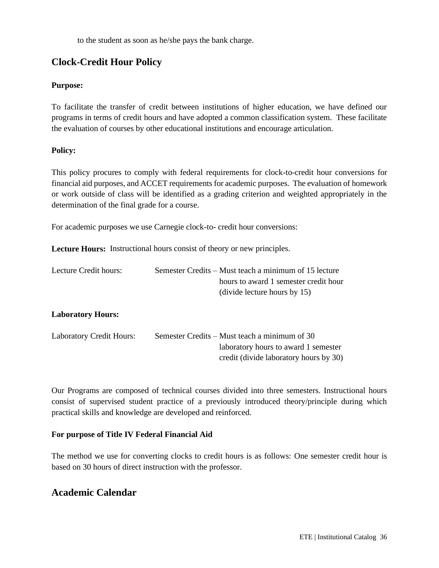to the student as soon as he/she pays the bank charge.

# **Clock-Credit Hour Policy**

## **Purpose:**

To facilitate the transfer of credit between institutions of higher education, we have defined our programs in terms of credit hours and have adopted a common classification system. These facilitate the evaluation of courses by other educational institutions and encourage articulation.

## **Policy:**

This policy procures to comply with federal requirements for clock-to-credit hour conversions for financial aid purposes, and ACCET requirements for academic purposes. The evaluation of homework or work outside of class will be identified as a grading criterion and weighted appropriately in the determination of the final grade for a course.

For academic purposes we use Carnegie clock-to- credit hour conversions:

**Lecture Hours:** Instructional hours consist of theory or new principles.

| Lecture Credit hours:    | Semester Credits – Must teach a minimum of 15 lecture |
|--------------------------|-------------------------------------------------------|
|                          | hours to award 1 semester credit hour                 |
|                          | (divide lecture hours by 15)                          |
| <b>Laboratory Hours:</b> |                                                       |

| <b>Laboratory Credit Hours:</b> | Semester Credits – Must teach a minimum of 30 |
|---------------------------------|-----------------------------------------------|
|                                 | laboratory hours to award 1 semester          |
|                                 | credit (divide laboratory hours by 30)        |

Our Programs are composed of technical courses divided into three semesters. Instructional hours consist of supervised student practice of a previously introduced theory/principle during which practical skills and knowledge are developed and reinforced*.*

#### **For purpose of Title IV Federal Financial Aid**

The method we use for converting clocks to credit hours is as follows: One semester credit hour is based on 30 hours of direct instruction with the professor.

# **Academic Calendar**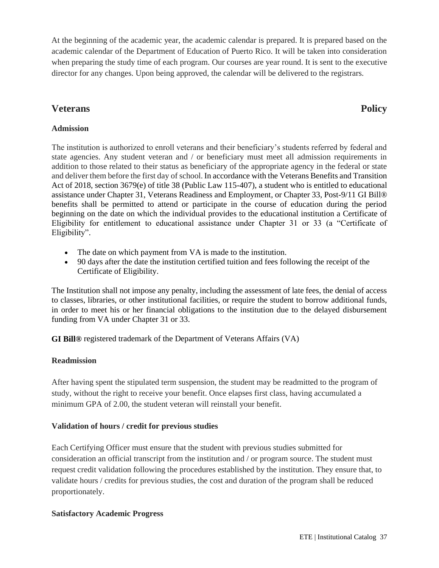At the beginning of the academic year, the academic calendar is prepared. It is prepared based on the academic calendar of the Department of Education of Puerto Rico. It will be taken into consideration when preparing the study time of each program. Our courses are year round. It is sent to the executive director for any changes. Upon being approved, the calendar will be delivered to the registrars.

# **Veterans Policy**

# **Admission**

The institution is authorized to enroll veterans and their beneficiary's students referred by federal and state agencies. Any student veteran and / or beneficiary must meet all admission requirements in addition to those related to their status as beneficiary of the appropriate agency in the federal or state and deliver them before the first day of school. In accordance with the Veterans Benefits and Transition Act of 2018, section 3679(e) of title 38 (Public Law 115-407), a student who is entitled to educational assistance under Chapter 31, Veterans Readiness and Employment, or Chapter 33, Post-9/11 GI Bill® benefits shall be permitted to attend or participate in the course of education during the period beginning on the date on which the individual provides to the educational institution a Certificate of Eligibility for entitlement to educational assistance under Chapter 31 or 33 (a "Certificate of Eligibility".

- The date on which payment from VA is made to the institution.
- 90 days after the date the institution certified tuition and fees following the receipt of the Certificate of Eligibility.

The Institution shall not impose any penalty, including the assessment of late fees, the denial of access to classes, libraries, or other institutional facilities, or require the student to borrow additional funds, in order to meet his or her financial obligations to the institution due to the delayed disbursement funding from VA under Chapter 31 or 33.

**GI Bill®** registered trademark of the Department of Veterans Affairs (VA)

# **Readmission**

After having spent the stipulated term suspension, the student may be readmitted to the program of study, without the right to receive your benefit. Once elapses first class, having accumulated a minimum GPA of 2.00, the student veteran will reinstall your benefit.

# **Validation of hours / credit for previous studies**

Each Certifying Officer must ensure that the student with previous studies submitted for consideration an official transcript from the institution and / or program source. The student must request credit validation following the procedures established by the institution. They ensure that, to validate hours / credits for previous studies, the cost and duration of the program shall be reduced proportionately.

# **Satisfactory Academic Progress**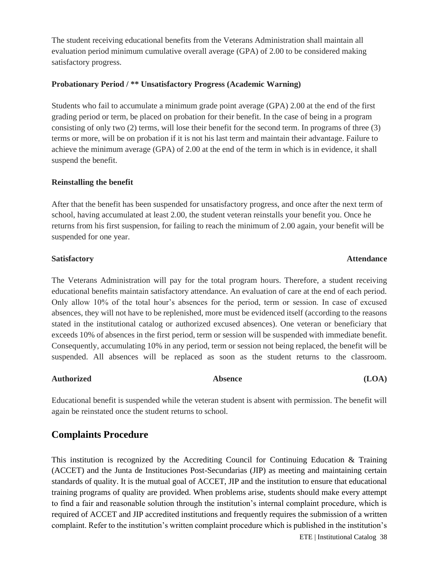The student receiving educational benefits from the Veterans Administration shall maintain all evaluation period minimum cumulative overall average (GPA) of 2.00 to be considered making satisfactory progress.

#### **Probationary Period / \*\* Unsatisfactory Progress (Academic Warning)**

Students who fail to accumulate a minimum grade point average (GPA) 2.00 at the end of the first grading period or term, be placed on probation for their benefit. In the case of being in a program consisting of only two (2) terms, will lose their benefit for the second term. In programs of three (3) terms or more, will be on probation if it is not his last term and maintain their advantage. Failure to achieve the minimum average (GPA) of 2.00 at the end of the term in which is in evidence, it shall suspend the benefit.

#### **Reinstalling the benefit**

After that the benefit has been suspended for unsatisfactory progress, and once after the next term of school, having accumulated at least 2.00, the student veteran reinstalls your benefit you. Once he returns from his first suspension, for failing to reach the minimum of 2.00 again, your benefit will be suspended for one year.

#### **Satisfactory Attendance**

The Veterans Administration will pay for the total program hours. Therefore, a student receiving educational benefits maintain satisfactory attendance. An evaluation of care at the end of each period. Only allow 10% of the total hour's absences for the period, term or session. In case of excused absences, they will not have to be replenished, more must be evidenced itself (according to the reasons stated in the institutional catalog or authorized excused absences). One veteran or beneficiary that exceeds 10% of absences in the first period, term or session will be suspended with immediate benefit. Consequently, accumulating 10% in any period, term or session not being replaced, the benefit will be suspended. All absences will be replaced as soon as the student returns to the classroom.

#### Authorized **Absence** (LOA)

Educational benefit is suspended while the veteran student is absent with permission. The benefit will again be reinstated once the student returns to school.

# **Complaints Procedure**

This institution is recognized by the Accrediting Council for Continuing Education & Training (ACCET) and the Junta de Instituciones Post-Secundarias (JIP) as meeting and maintaining certain standards of quality. It is the mutual goal of ACCET, JIP and the institution to ensure that educational training programs of quality are provided. When problems arise, students should make every attempt to find a fair and reasonable solution through the institution's internal complaint procedure, which is required of ACCET and JIP accredited institutions and frequently requires the submission of a written complaint. Refer to the institution's written complaint procedure which is published in the institution's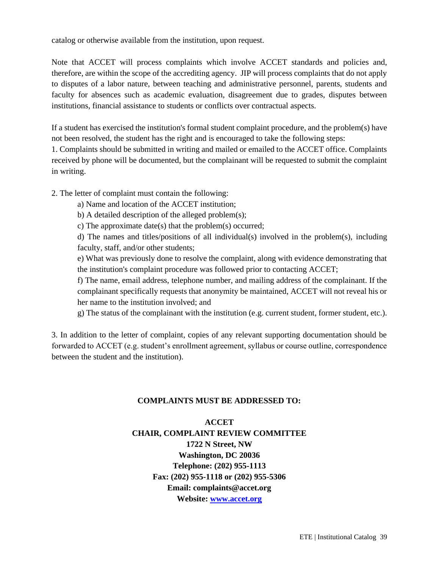catalog or otherwise available from the institution, upon request.

Note that ACCET will process complaints which involve ACCET standards and policies and, therefore, are within the scope of the accrediting agency. JIP will process complaints that do not apply to disputes of a labor nature, between teaching and administrative personnel, parents, students and faculty for absences such as academic evaluation, disagreement due to grades, disputes between institutions, financial assistance to students or conflicts over contractual aspects.

If a student has exercised the institution's formal student complaint procedure, and the problem(s) have not been resolved, the student has the right and is encouraged to take the following steps:

1. Complaints should be submitted in writing and mailed or emailed to the ACCET office. Complaints received by phone will be documented, but the complainant will be requested to submit the complaint in writing.

2. The letter of complaint must contain the following:

- a) Name and location of the ACCET institution;
- b) A detailed description of the alleged problem(s);

c) The approximate date(s) that the problem(s) occurred;

d) The names and titles/positions of all individual(s) involved in the problem(s), including faculty, staff, and/or other students;

e) What was previously done to resolve the complaint, along with evidence demonstrating that the institution's complaint procedure was followed prior to contacting ACCET;

f) The name, email address, telephone number, and mailing address of the complainant. If the complainant specifically requests that anonymity be maintained, ACCET will not reveal his or her name to the institution involved; and

g) The status of the complainant with the institution (e.g. current student, former student, etc.).

3. In addition to the letter of complaint, copies of any relevant supporting documentation should be forwarded to ACCET (e.g. student's enrollment agreement, syllabus or course outline, correspondence between the student and the institution).

#### **COMPLAINTS MUST BE ADDRESSED TO:**

# **ACCET CHAIR, COMPLAINT REVIEW COMMITTEE 1722 N Street, NW Washington, DC 20036 Telephone: (202) 955-1113 Fax: (202) 955-1118 or (202) 955-5306 Email: complaints@accet.org Website: [www.accet.org](http://www.accet.org/)**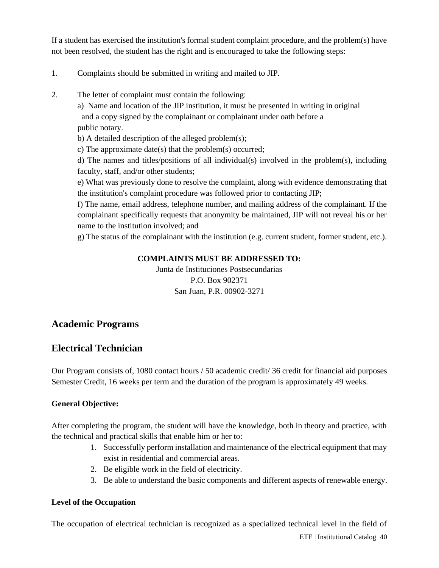If a student has exercised the institution's formal student complaint procedure, and the problem(s) have not been resolved, the student has the right and is encouraged to take the following steps:

- 1. Complaints should be submitted in writing and mailed to JIP.
- 2. The letter of complaint must contain the following:

a) Name and location of the JIP institution, it must be presented in writing in original and a copy signed by the complainant or complainant under oath before a public notary.

b) A detailed description of the alleged problem(s);

c) The approximate date(s) that the problem(s) occurred;

d) The names and titles/positions of all individual(s) involved in the problem(s), including faculty, staff, and/or other students;

e) What was previously done to resolve the complaint, along with evidence demonstrating that the institution's complaint procedure was followed prior to contacting JIP;

f) The name, email address, telephone number, and mailing address of the complainant. If the complainant specifically requests that anonymity be maintained, JIP will not reveal his or her name to the institution involved; and

g) The status of the complainant with the institution (e.g. current student, former student, etc.).

## **COMPLAINTS MUST BE ADDRESSED TO:**

Junta de Instituciones Postsecundarias P.O. Box 902371 San Juan, P.R. 00902-3271

# **Academic Programs**

# **Electrical Technician**

Our Program consists of, 1080 contact hours / 50 academic credit/ 36 credit for financial aid purposes Semester Credit, 16 weeks per term and the duration of the program is approximately 49 weeks.

# **General Objective:**

After completing the program, the student will have the knowledge, both in theory and practice, with the technical and practical skills that enable him or her to:

- 1. Successfully perform installation and maintenance of the electrical equipment that may exist in residential and commercial areas.
- 2. Be eligible work in the field of electricity.
- 3. Be able to understand the basic components and different aspects of renewable energy.

#### **Level of the Occupation**

The occupation of electrical technician is recognized as a specialized technical level in the field of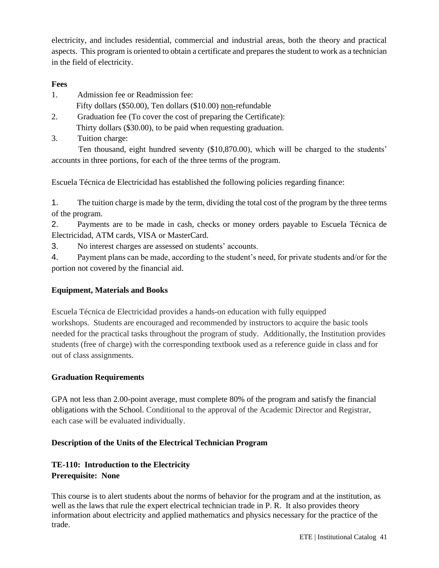electricity, and includes residential, commercial and industrial areas, both the theory and practical aspects. This program is oriented to obtain a certificate and prepares the student to work as a technician in the field of electricity.

## **Fees**

- 1. Admission fee or Readmission fee:
	- Fifty dollars (\$50.00), Ten dollars (\$10.00) non-refundable
- 2. Graduation fee (To cover the cost of preparing the Certificate): Thirty dollars (\$30.00), to be paid when requesting graduation.
- 3. Tuition charge:

 Ten thousand, eight hundred seventy (\$10,870.00), which will be charged to the students' accounts in three portions, for each of the three terms of the program.

Escuela Técnica de Electricidad has established the following policies regarding finance:

1. The tuition charge is made by the term, dividing the total cost of the program by the three terms of the program.

2. Payments are to be made in cash, checks or money orders payable to Escuela Técnica de Electricidad, ATM cards, VISA or MasterCard.

3. No interest charges are assessed on students' accounts.

4. Payment plans can be made, according to the student's need, for private students and/or for the portion not covered by the financial aid.

# **Equipment, Materials and Books**

Escuela Técnica de Electricidad provides a hands-on education with fully equipped workshops. Students are encouraged and recommended by instructors to acquire the basic tools needed for the practical tasks throughout the program of study. Additionally, the Institution provides students (free of charge) with the corresponding textbook used as a reference guide in class and for out of class assignments.

# **Graduation Requirements**

GPA not less than 2.00-point average, must complete 80% of the program and satisfy the financial obligations with the School. Conditional to the approval of the Academic Director and Registrar, each case will be evaluated individually.

# **Description of the Units of the Electrical Technician Program**

# **TE-110: Introduction to the Electricity Prerequisite: None**

This course is to alert students about the norms of behavior for the program and at the institution, as well as the laws that rule the expert electrical technician trade in P. R. It also provides theory information about electricity and applied mathematics and physics necessary for the practice of the trade.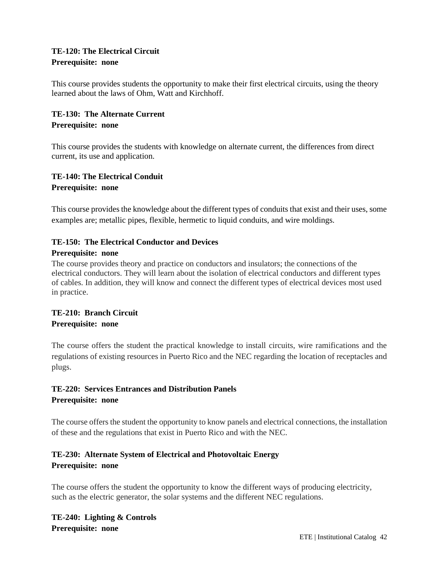# **TE-120: The Electrical Circuit Prerequisite: none**

This course provides students the opportunity to make their first electrical circuits, using the theory learned about the laws of Ohm, Watt and Kirchhoff.

# **TE-130: The Alternate Current Prerequisite: none**

This course provides the students with knowledge on alternate current, the differences from direct current, its use and application.

# **TE-140: The Electrical Conduit Prerequisite: none**

This course provides the knowledge about the different types of conduits that exist and their uses, some examples are; metallic pipes, flexible, hermetic to liquid conduits, and wire moldings.

# **TE-150: The Electrical Conductor and Devices**

## **Prerequisite: none**

The course provides theory and practice on conductors and insulators; the connections of the electrical conductors. They will learn about the isolation of electrical conductors and different types of cables. In addition, they will know and connect the different types of electrical devices most used in practice.

# **TE-210: Branch Circuit Prerequisite: none**

The course offers the student the practical knowledge to install circuits, wire ramifications and the regulations of existing resources in Puerto Rico and the NEC regarding the location of receptacles and plugs.

# **TE-220: Services Entrances and Distribution Panels Prerequisite: none**

The course offers the student the opportunity to know panels and electrical connections, the installation of these and the regulations that exist in Puerto Rico and with the NEC.

# **TE-230: Alternate System of Electrical and Photovoltaic Energy Prerequisite: none**

The course offers the student the opportunity to know the different ways of producing electricity, such as the electric generator, the solar systems and the different NEC regulations.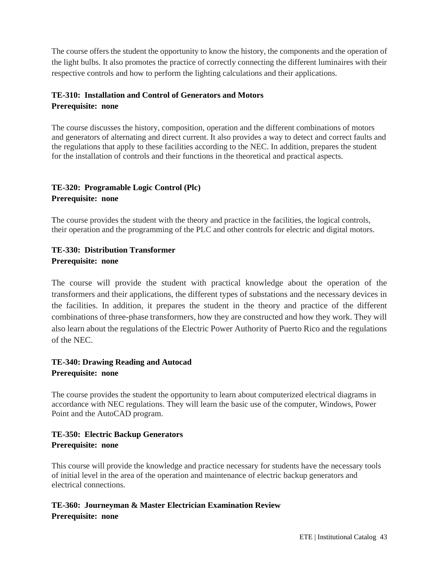The course offers the student the opportunity to know the history, the components and the operation of the light bulbs. It also promotes the practice of correctly connecting the different luminaires with their respective controls and how to perform the lighting calculations and their applications.

# **TE-310: Installation and Control of Generators and Motors Prerequisite: none**

The course discusses the history, composition, operation and the different combinations of motors and generators of alternating and direct current. It also provides a way to detect and correct faults and the regulations that apply to these facilities according to the NEC. In addition, prepares the student for the installation of controls and their functions in the theoretical and practical aspects.

## **TE-320: Programable Logic Control (Plc) Prerequisite: none**

The course provides the student with the theory and practice in the facilities, the logical controls, their operation and the programming of the PLC and other controls for electric and digital motors.

# **TE-330: Distribution Transformer Prerequisite: none**

The course will provide the student with practical knowledge about the operation of the transformers and their applications, the different types of substations and the necessary devices in the facilities. In addition, it prepares the student in the theory and practice of the different combinations of three-phase transformers, how they are constructed and how they work. They will also learn about the regulations of the Electric Power Authority of Puerto Rico and the regulations of the NEC.

# **TE-340: Drawing Reading and Autocad Prerequisite: none**

The course provides the student the opportunity to learn about computerized electrical diagrams in accordance with NEC regulations. They will learn the basic use of the computer, Windows, Power Point and the AutoCAD program.

# **TE-350: Electric Backup Generators Prerequisite: none**

This course will provide the knowledge and practice necessary for students have the necessary tools of initial level in the area of the operation and maintenance of electric backup generators and electrical connections.

# **TE-360: Journeyman & Master Electrician Examination Review Prerequisite: none**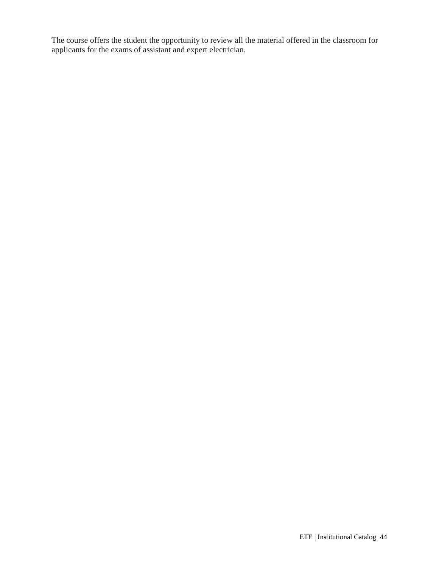The course offers the student the opportunity to review all the material offered in the classroom for applicants for the exams of assistant and expert electrician.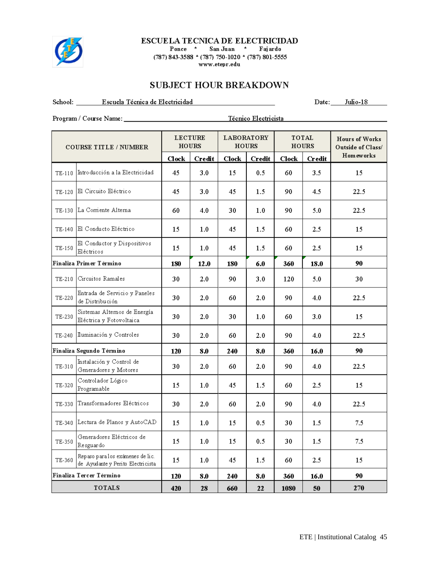

#### **ESCUELA TECNICA DE ELECTRICIDAD**

Ponce \* San Juan \* Fajardo  $(787)$  843-3588 \*  $(787)$  750-1020 \*  $(787)$  801-5555 www.etepr.edu

# SUBJECT HOUR BREAKDOWN

School: Escuela Técnica de Electricidad

Date: Julio-18

| <b>COURSE TITLE / NUMBER</b> |                                                                       | <b>LECTURE</b><br><b>LABORATORY</b><br><b>HOURS</b><br><b>HOURS</b> |        |       | TOTAL<br><b>HOURS</b> |              | <b>Hours of Works</b><br>Outside of Class/ |                  |
|------------------------------|-----------------------------------------------------------------------|---------------------------------------------------------------------|--------|-------|-----------------------|--------------|--------------------------------------------|------------------|
|                              |                                                                       | ${\bf Check}$                                                       | Credit | Clock | <b>Credit</b>         | <b>Clock</b> | <b>Credit</b>                              | <b>Homeworks</b> |
| TE-110                       | Introducción a la Electricidad                                        | 45                                                                  | 3.0    | 15    | 0.5                   | 60.          | 3.5                                        | 15               |
| TE-120                       | El Circuito Eléctrico                                                 | 45.                                                                 | 3.0    | 45    | $1.5\,$               | 90.          | 4.5                                        | 22.5             |
|                              | TE-130 La Corriente Alterna                                           | 60                                                                  | 4.0    | 30    | 1.0                   | 90           | 5.0                                        | 22.5             |
|                              | TE-140 El Conducto Eléctrico                                          | 15                                                                  | 1.0    | 45    | 1.5                   | 60.          | 2.5                                        | 15               |
| TE-150                       | El Conductor y Dispositivos<br>Eléctricos                             | 15                                                                  | 1.0    | 45    | $1.5\,$               | 60           | 2.5                                        | 15               |
|                              | Finaliza Primer Término                                               | 180                                                                 | 12.0   | 180   | 6.0                   | 360          | 18.0                                       | 90               |
| TE-210                       | Circuitos Ramales                                                     | 30                                                                  | 2.0    | 90    | 3.0                   | 120          | 5.0                                        | 30               |
| TE-220                       | Entrada de Servicio y Paneles<br>de Distribución                      | 30                                                                  | 2.0    | 60    | 2.0                   | 90.          | 4.0                                        | 22.5             |
| TE-230                       | Sistemas Alternos de Energía<br>Eléctrica y Fotovoltaica              | 30                                                                  | 2.0    | 30    | 1.0                   | 60           | 3.0                                        | 15               |
| TE-240                       | Iluminación y Controles                                               | 30                                                                  | 2.0    | 60    | 2.0                   | 90           | 4.0                                        | 22.5             |
|                              | Finaliza Segundo Término                                              | 120                                                                 | 8.0    | 240   | 8.0                   | 360          | 16.0                                       | 90               |
| TE-310                       | Instalación y Control de<br>Generadores y Motores                     | 30                                                                  | 2.0    | 60    | 2.0                   | 90.          | 4.0                                        | 22.5             |
| TE-320                       | Controlador Lógico<br>Programable                                     | 15                                                                  | 1.0    | 45    | 1.5                   | 60.          | 2.5                                        | 15               |
| TE-330                       | Transformadores Eléctricos                                            | 30                                                                  | 2.0    | 60    | 2.0                   | 90           | 4.0                                        | 22.5             |
| TE-340                       | Lectura de Planos y AutoCAD                                           | 15                                                                  | 1.0    | 15    | 0.5                   | 30           | $1.5\,$                                    | 7.5              |
| TE-350                       | Generadores Eléctricos de<br>Resguardo                                | 15                                                                  | 1.0    | 15    | 0.5                   | 30           | 1.5                                        | 7.5              |
| TE-360                       | Repaso para los exámenes de lic.<br>de Ayudante y Perito Electricista | 15                                                                  | 1.0    | 45    | $1.5\,$               | 60.          | 2.5                                        | 15               |
|                              | Finaliza Tercer Término                                               | 120                                                                 | 8.0    | 240   | 8.0                   | 360          | 16.0                                       | 90               |
|                              | <b>TOTALS</b>                                                         | 420                                                                 | 28     | 660   | 22                    | 1080         | 50                                         | 270              |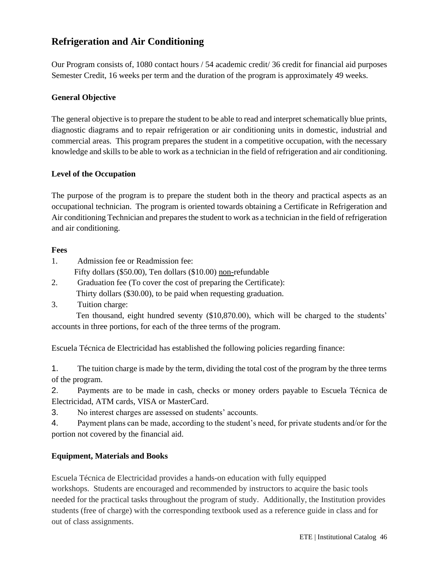# **Refrigeration and Air Conditioning**

Our Program consists of, 1080 contact hours / 54 academic credit/ 36 credit for financial aid purposes Semester Credit, 16 weeks per term and the duration of the program is approximately 49 weeks.

## **General Objective**

The general objective is to prepare the student to be able to read and interpret schematically blue prints, diagnostic diagrams and to repair refrigeration or air conditioning units in domestic, industrial and commercial areas. This program prepares the student in a competitive occupation, with the necessary knowledge and skills to be able to work as a technician in the field of refrigeration and air conditioning.

## **Level of the Occupation**

The purpose of the program is to prepare the student both in the theory and practical aspects as an occupational technician. The program is oriented towards obtaining a Certificate in Refrigeration and Air conditioning Technician and prepares the student to work as a technician in the field of refrigeration and air conditioning.

#### **Fees**

- 1. Admission fee or Readmission fee:
	- Fifty dollars (\$50.00), Ten dollars (\$10.00) non-refundable
- 2. Graduation fee (To cover the cost of preparing the Certificate): Thirty dollars (\$30.00), to be paid when requesting graduation.
- 3. Tuition charge:

 Ten thousand, eight hundred seventy (\$10,870.00), which will be charged to the students' accounts in three portions, for each of the three terms of the program.

Escuela Técnica de Electricidad has established the following policies regarding finance:

1. The tuition charge is made by the term, dividing the total cost of the program by the three terms of the program.

2. Payments are to be made in cash, checks or money orders payable to Escuela Técnica de Electricidad, ATM cards, VISA or MasterCard.

3. No interest charges are assessed on students' accounts.

4. Payment plans can be made, according to the student's need, for private students and/or for the portion not covered by the financial aid.

# **Equipment, Materials and Books**

Escuela Técnica de Electricidad provides a hands-on education with fully equipped workshops. Students are encouraged and recommended by instructors to acquire the basic tools needed for the practical tasks throughout the program of study. Additionally, the Institution provides students (free of charge) with the corresponding textbook used as a reference guide in class and for out of class assignments.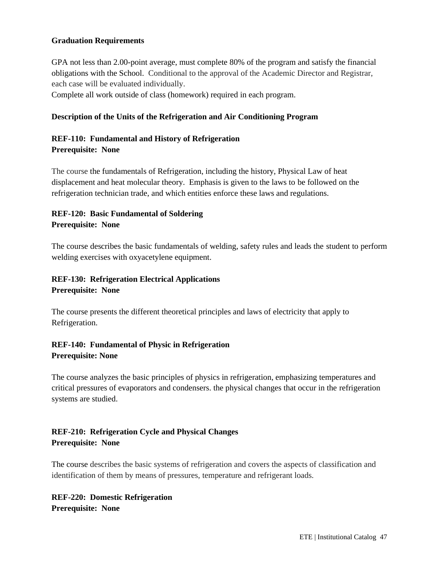#### **Graduation Requirements**

GPA not less than 2.00-point average, must complete 80% of the program and satisfy the financial obligations with the School. Conditional to the approval of the Academic Director and Registrar, each case will be evaluated individually.

Complete all work outside of class (homework) required in each program.

#### **Description of the Units of the Refrigeration and Air Conditioning Program**

#### **REF-110: Fundamental and History of Refrigeration Prerequisite: None**

The course the fundamentals of Refrigeration, including the history, Physical Law of heat displacement and heat molecular theory. Emphasis is given to the laws to be followed on the refrigeration technician trade, and which entities enforce these laws and regulations.

# **REF-120: Basic Fundamental of Soldering Prerequisite: None**

The course describes the basic fundamentals of welding, safety rules and leads the student to perform welding exercises with oxyacetylene equipment.

# **REF-130: Refrigeration Electrical Applications Prerequisite: None**

The course presents the different theoretical principles and laws of electricity that apply to Refrigeration.

# **REF-140: Fundamental of Physic in Refrigeration Prerequisite: None**

The course analyzes the basic principles of physics in refrigeration, emphasizing temperatures and critical pressures of evaporators and condensers. the physical changes that occur in the refrigeration systems are studied.

# **REF-210: Refrigeration Cycle and Physical Changes Prerequisite: None**

The course describes the basic systems of refrigeration and covers the aspects of classification and identification of them by means of pressures, temperature and refrigerant loads.

# **REF-220: Domestic Refrigeration Prerequisite: None**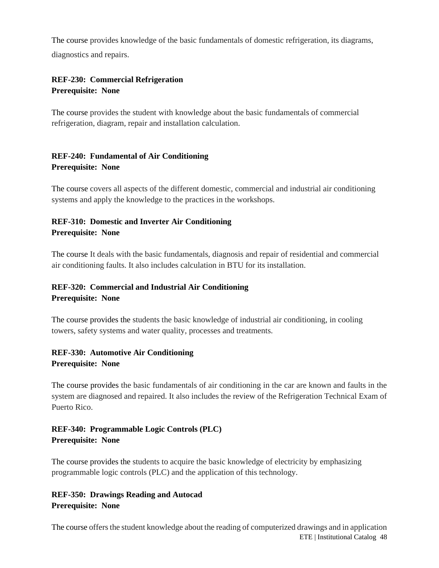The course provides knowledge of the basic fundamentals of domestic refrigeration, its diagrams, diagnostics and repairs.

# **REF-230: Commercial Refrigeration Prerequisite: None**

The course provides the student with knowledge about the basic fundamentals of commercial refrigeration, diagram, repair and installation calculation.

# **REF-240: Fundamental of Air Conditioning Prerequisite: None**

The course covers all aspects of the different domestic, commercial and industrial air conditioning systems and apply the knowledge to the practices in the workshops.

# **REF-310: Domestic and Inverter Air Conditioning Prerequisite: None**

The course It deals with the basic fundamentals, diagnosis and repair of residential and commercial air conditioning faults. It also includes calculation in BTU for its installation.

# **REF-320: Commercial and Industrial Air Conditioning Prerequisite: None**

The course provides the students the basic knowledge of industrial air conditioning, in cooling towers, safety systems and water quality, processes and treatments.

# **REF-330: Automotive Air Conditioning Prerequisite: None**

The course provides the basic fundamentals of air conditioning in the car are known and faults in the system are diagnosed and repaired. It also includes the review of the Refrigeration Technical Exam of Puerto Rico.

# **REF-340: Programmable Logic Controls (PLC) Prerequisite: None**

The course provides the students to acquire the basic knowledge of electricity by emphasizing programmable logic controls (PLC) and the application of this technology.

# **REF-350: Drawings Reading and Autocad Prerequisite: None**

ETE | Institutional Catalog 48 The course offers the student knowledge about the reading of computerized drawings and in application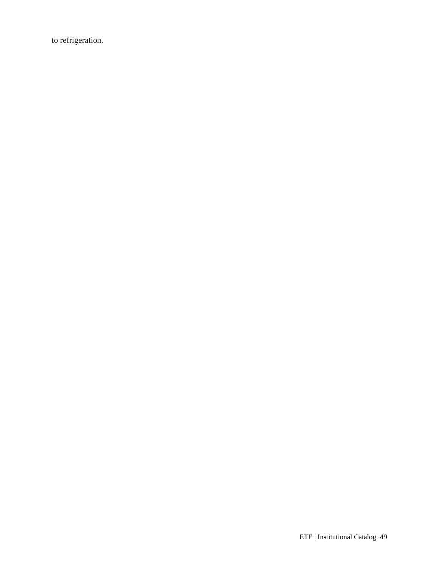to refrigeration.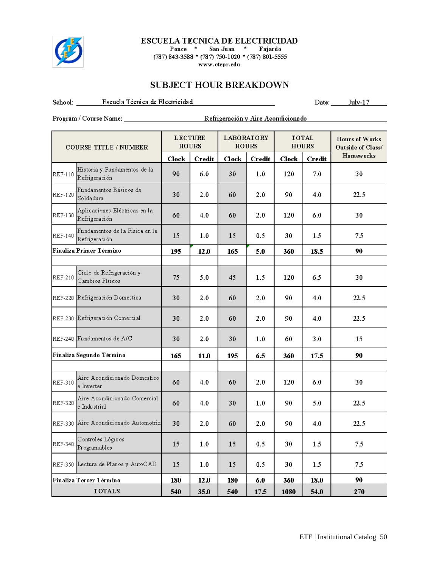

#### ESCUELA TECNICA DE ELECTRICIDAD

Ponce \* San Juan \* Fajardo (787) 843-3588 \* (787) 750-1020 \* (787) 801-5555 www.etepr.edu

# **SUBJECT HOUR BREAKDOWN**

School: Escuela Técnica de Electricidad

Date:  $\frac{\text{July-17}}{}$ 

| <b>COURSE TITLE / NUMBER</b> |                                                 | <b>LECTURE</b><br><b>HOURS</b> |               | <b>LABORATORY</b><br><b>HOURS</b> |               | TOTAL<br><b>HOURS</b> |         | <b>Hours of Works</b><br>Outside of Class/ |
|------------------------------|-------------------------------------------------|--------------------------------|---------------|-----------------------------------|---------------|-----------------------|---------|--------------------------------------------|
|                              |                                                 | Clock                          | <b>Credit</b> | $\bf{Clock}$                      | <b>Credit</b> | <b>Clock</b>          | Credit  | <b>Homeworks</b>                           |
| <b>REF-110</b>               | Historia y Fundamentos de la<br>Refrigeración   | 90                             | 6.0           | 30                                | 1.0           | 120                   | 7.0     | 30                                         |
| <b>REF-120</b>               | Fundamentos Básicos de<br>Soldadura             | 30                             | 2.0           | 60                                | $2.0\,$       | 90                    | 4.0     | 22.5                                       |
| <b>REF-130</b>               | Aplicaciones Eléctricas en la<br>Refrigeración  | 60                             | 4.0           | 60                                | 2.0           | 120                   | 6.0     | 30                                         |
| <b>REF-140</b>               | Fundamentos de la Física en la<br>Refrigeración | 15                             | 1.0           | 15                                | 0.5           | 30                    | 1.5     | 7.5                                        |
|                              | Finaliza Primer Término                         | 195                            | 12.0          | 165                               | 5.0           | 360                   | 18.5    | 90                                         |
|                              |                                                 |                                |               |                                   |               |                       |         |                                            |
| REF-210                      | Ciclo de Refrigeración y<br>Cambios Físicos     | 75                             | 5.0           | 45                                | 1.5           | 120                   | 6.5     | 30                                         |
|                              | REF-220 Refrigeración Domestica                 | 30                             | 2.0           | 60                                | 2.0           | 90                    | 4.0     | 22.5                                       |
|                              | REF-230 Refrigeración Comercial                 | 30                             | 2.0           | 60                                | 2.0           | 90                    | 4.0     | 22.5                                       |
|                              | REF-240 Fundamentos de A/C                      | 30                             | 2.0           | 30                                | 1.0           | 60                    | 3.0     | 15                                         |
|                              | Finaliza Segundo Término                        | 165                            | 11.0          | 195                               | 6.5           | 360                   | 17.5    | 90                                         |
|                              |                                                 |                                |               |                                   |               |                       |         |                                            |
| REF-310                      | Aire Acondicionado Domestico<br>e Inverter      | 60                             | 4.0           | 60                                | 2.0           | 120                   | 6.0     | 30                                         |
| <b>REF-320</b>               | Aire Acondicionado Comercial<br>e Industrial    | 60                             | 4.0           | 30                                | 1.0           | 90                    | 5.0     | 22.5                                       |
|                              | REF-330 Aire Acondicionado Automotriz           | 30                             | 2.0           | 60                                | 2.0           | 90                    | 4.0     | 22.5                                       |
| <b>REF-340</b>               | Controles Lógicos<br>Programables               | 15                             | 1.0           | 15                                | 0.5           | 30                    | 1.5     | 7.5                                        |
|                              | REF-350 Lectura de Planos y AutoCAD             | 15                             | 1.0           | 15                                | 0.5           | 30                    | $1.5\,$ | 7.5                                        |
|                              | Finaliza Tercer Término                         | 180                            | 12.0          | 180                               | 6.0           | 360                   | 18.0    | 90                                         |
|                              | <b>TOTALS</b>                                   | 540                            | 35.0          | 540                               | 17.5          | 1080                  | 54.0    | 270                                        |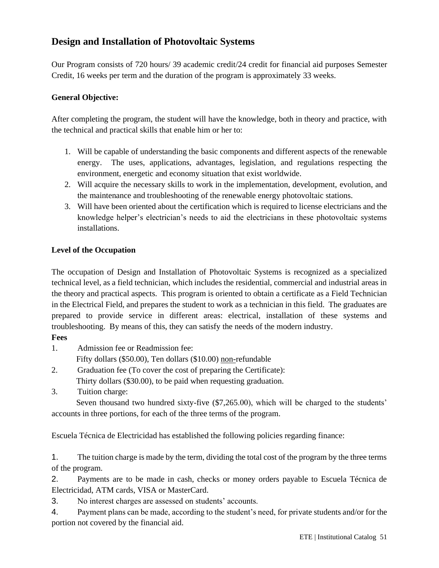# **Design and Installation of Photovoltaic Systems**

Our Program consists of 720 hours/ 39 academic credit/24 credit for financial aid purposes Semester Credit, 16 weeks per term and the duration of the program is approximately 33 weeks.

# **General Objective:**

After completing the program, the student will have the knowledge, both in theory and practice, with the technical and practical skills that enable him or her to:

- 1. Will be capable of understanding the basic components and different aspects of the renewable energy. The uses, applications, advantages, legislation, and regulations respecting the environment, energetic and economy situation that exist worldwide.
- 2. Will acquire the necessary skills to work in the implementation, development, evolution, and the maintenance and troubleshooting of the renewable energy photovoltaic stations.
- 3. Will have been oriented about the certification which is required to license electricians and the knowledge helper's electrician's needs to aid the electricians in these photovoltaic systems installations.

# **Level of the Occupation**

The occupation of Design and Installation of Photovoltaic Systems is recognized as a specialized technical level, as a field technician, which includes the residential, commercial and industrial areas in the theory and practical aspects. This program is oriented to obtain a certificate as a Field Technician in the Electrical Field, and prepares the student to work as a technician in this field. The graduates are prepared to provide service in different areas: electrical, installation of these systems and troubleshooting. By means of this, they can satisfy the needs of the modern industry.

# **Fees**

1. Admission fee or Readmission fee:

Fifty dollars (\$50.00), Ten dollars (\$10.00) non-refundable

- 2. Graduation fee (To cover the cost of preparing the Certificate): Thirty dollars (\$30.00), to be paid when requesting graduation.
- 3. Tuition charge:

 Seven thousand two hundred sixty-five (\$7,265.00), which will be charged to the students' accounts in three portions, for each of the three terms of the program.

Escuela Técnica de Electricidad has established the following policies regarding finance:

1. The tuition charge is made by the term, dividing the total cost of the program by the three terms of the program.

2. Payments are to be made in cash, checks or money orders payable to Escuela Técnica de Electricidad, ATM cards, VISA or MasterCard.

3. No interest charges are assessed on students' accounts.

4. Payment plans can be made, according to the student's need, for private students and/or for the portion not covered by the financial aid.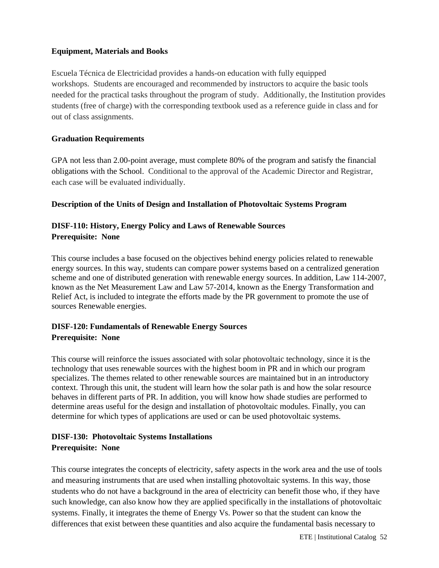## **Equipment, Materials and Books**

Escuela Técnica de Electricidad provides a hands-on education with fully equipped workshops. Students are encouraged and recommended by instructors to acquire the basic tools needed for the practical tasks throughout the program of study. Additionally, the Institution provides students (free of charge) with the corresponding textbook used as a reference guide in class and for out of class assignments.

## **Graduation Requirements**

GPA not less than 2.00-point average, must complete 80% of the program and satisfy the financial obligations with the School. Conditional to the approval of the Academic Director and Registrar, each case will be evaluated individually.

#### **Description of the Units of Design and Installation of Photovoltaic Systems Program**

# **DISF-110: History, Energy Policy and Laws of Renewable Sources Prerequisite: None**

This course includes a base focused on the objectives behind energy policies related to renewable energy sources. In this way, students can compare power systems based on a centralized generation scheme and one of distributed generation with renewable energy sources. In addition, Law 114-2007, known as the Net Measurement Law and Law 57-2014, known as the Energy Transformation and Relief Act, is included to integrate the efforts made by the PR government to promote the use of sources Renewable energies.

# **DISF-120: Fundamentals of Renewable Energy Sources**

#### **Prerequisite: None**

This course will reinforce the issues associated with solar photovoltaic technology, since it is the technology that uses renewable sources with the highest boom in PR and in which our program specializes. The themes related to other renewable sources are maintained but in an introductory context. Through this unit, the student will learn how the solar path is and how the solar resource behaves in different parts of PR. In addition, you will know how shade studies are performed to determine areas useful for the design and installation of photovoltaic modules. Finally, you can determine for which types of applications are used or can be used photovoltaic systems.

# **DISF-130: Photovoltaic Systems Installations Prerequisite: None**

This course integrates the concepts of electricity, safety aspects in the work area and the use of tools and measuring instruments that are used when installing photovoltaic systems. In this way, those students who do not have a background in the area of electricity can benefit those who, if they have such knowledge, can also know how they are applied specifically in the installations of photovoltaic systems. Finally, it integrates the theme of Energy Vs. Power so that the student can know the differences that exist between these quantities and also acquire the fundamental basis necessary to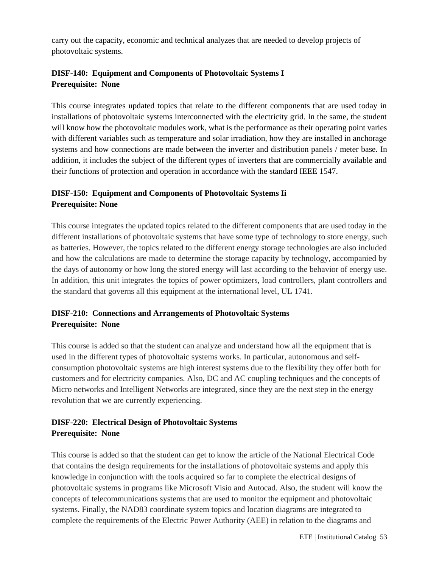carry out the capacity, economic and technical analyzes that are needed to develop projects of photovoltaic systems.

# **DISF-140: Equipment and Components of Photovoltaic Systems I Prerequisite: None**

This course integrates updated topics that relate to the different components that are used today in installations of photovoltaic systems interconnected with the electricity grid. In the same, the student will know how the photovoltaic modules work, what is the performance as their operating point varies with different variables such as temperature and solar irradiation, how they are installed in anchorage systems and how connections are made between the inverter and distribution panels / meter base. In addition, it includes the subject of the different types of inverters that are commercially available and their functions of protection and operation in accordance with the standard IEEE 1547.

# **DISF-150: Equipment and Components of Photovoltaic Systems Ii Prerequisite: None**

This course integrates the updated topics related to the different components that are used today in the different installations of photovoltaic systems that have some type of technology to store energy, such as batteries. However, the topics related to the different energy storage technologies are also included and how the calculations are made to determine the storage capacity by technology, accompanied by the days of autonomy or how long the stored energy will last according to the behavior of energy use. In addition, this unit integrates the topics of power optimizers, load controllers, plant controllers and the standard that governs all this equipment at the international level, UL 1741.

# **DISF-210: Connections and Arrangements of Photovoltaic Systems Prerequisite: None**

This course is added so that the student can analyze and understand how all the equipment that is used in the different types of photovoltaic systems works. In particular, autonomous and selfconsumption photovoltaic systems are high interest systems due to the flexibility they offer both for customers and for electricity companies. Also, DC and AC coupling techniques and the concepts of Micro networks and Intelligent Networks are integrated, since they are the next step in the energy revolution that we are currently experiencing.

# **DISF-220: Electrical Design of Photovoltaic Systems Prerequisite: None**

This course is added so that the student can get to know the article of the National Electrical Code that contains the design requirements for the installations of photovoltaic systems and apply this knowledge in conjunction with the tools acquired so far to complete the electrical designs of photovoltaic systems in programs like Microsoft Visio and Autocad. Also, the student will know the concepts of telecommunications systems that are used to monitor the equipment and photovoltaic systems. Finally, the NAD83 coordinate system topics and location diagrams are integrated to complete the requirements of the Electric Power Authority (AEE) in relation to the diagrams and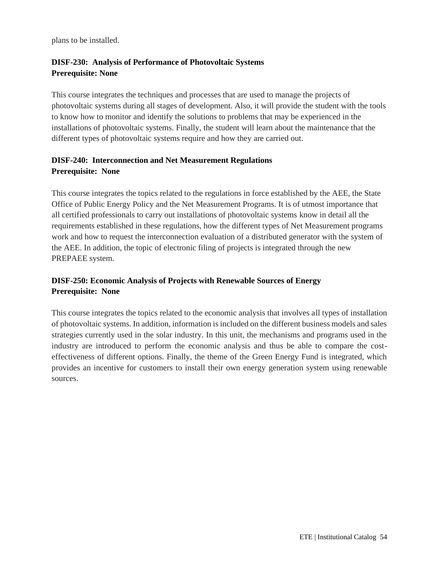plans to be installed.

# **DISF-230: Analysis of Performance of Photovoltaic Systems Prerequisite: None**

This course integrates the techniques and processes that are used to manage the projects of photovoltaic systems during all stages of development. Also, it will provide the student with the tools to know how to monitor and identify the solutions to problems that may be experienced in the installations of photovoltaic systems. Finally, the student will learn about the maintenance that the different types of photovoltaic systems require and how they are carried out.

# **DISF-240: Interconnection and Net Measurement Regulations Prerequisite: None**

This course integrates the topics related to the regulations in force established by the AEE, the State Office of Public Energy Policy and the Net Measurement Programs. It is of utmost importance that all certified professionals to carry out installations of photovoltaic systems know in detail all the requirements established in these regulations, how the different types of Net Measurement programs work and how to request the interconnection evaluation of a distributed generator with the system of the AEE. In addition, the topic of electronic filing of projects is integrated through the new PREPAEE system.

# **DISF-250: Economic Analysis of Projects with Renewable Sources of Energy Prerequisite: None**

This course integrates the topics related to the economic analysis that involves all types of installation of photovoltaic systems. In addition, information is included on the different business models and sales strategies currently used in the solar industry. In this unit, the mechanisms and programs used in the industry are introduced to perform the economic analysis and thus be able to compare the costeffectiveness of different options. Finally, the theme of the Green Energy Fund is integrated, which provides an incentive for customers to install their own energy generation system using renewable sources.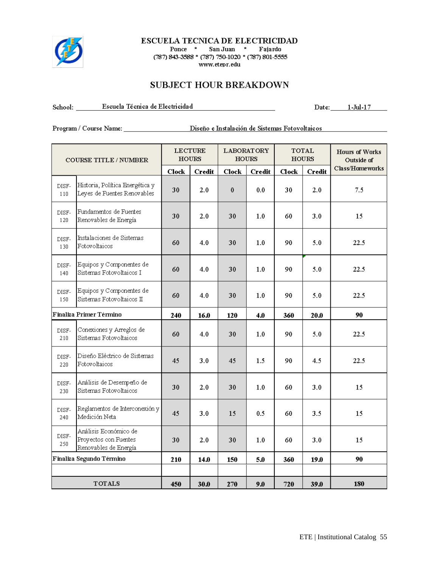

#### **ESCUELA TECNICA DE ELECTRICIDAD**

Ponce \* San Juan \* Fajardo (787) 843-3588 \* (787) 750-1020 \* (787) 801-5555 www.etepr.edu

# **SUBJECT HOUR BREAKDOWN**

School: Escuela Técnica de Electricidad

Date: 1-Jul-17

Program / Course Name: Diseño e Instalación de Sistemas Fotovoltaicos

| <b>COURSE TITLE / NUMBER</b> |                                                                         |              | <b>LECTURE</b><br><b>LABORATORY</b><br><b>HOURS</b><br><b>HOURS</b> |              | <b>TOTAL</b><br><b>HOURS</b> |         | <b>Hours of Works</b><br>Outside of |                 |
|------------------------------|-------------------------------------------------------------------------|--------------|---------------------------------------------------------------------|--------------|------------------------------|---------|-------------------------------------|-----------------|
|                              |                                                                         | <b>Clock</b> | <b>Credit</b>                                                       | <b>Clock</b> | <b>Credit</b>                | $Clock$ | <b>Credit</b>                       | Class/Homeworks |
| DISF-<br>110                 | Historia, Política Energética y<br>Leyes de Fuentes Renovables          | 30           | 2.0                                                                 | $\pmb{0}$    | 0.0                          | 30      | 2.0                                 | 7.5             |
| DISF-<br>120                 | Fundamentos de Fuentes<br>Renovables de Energía                         | 30           | 2.0                                                                 | 30           | 1.0                          | 60      | 3.0                                 | 15              |
| DISF-<br>130                 | Instalaciones de Sistemas<br>Fotovoltaicos                              | 60           | 4.0                                                                 | 30           | 1.0                          | 90      | 5.0                                 | 22.5            |
| DISF-<br>140                 | Equipos y Componentes de<br>Sistemas Fotovoltaicos I                    | 60           | 4.0                                                                 | 30           | 1.0                          | 90      | 5.0                                 | 22.5            |
| DISF-<br>150                 | Equipos y Componentes de<br>Sistemas Fotovoltaicos II                   | 60           | 4.0                                                                 | 30           | 1.0                          | 90.     | 5.0                                 | 22.5            |
|                              | Finaliza Primer Término                                                 | 240          | 16.0                                                                | 120          | 4.0                          | 360     | 20.0                                | 90              |
| DISF-<br>210                 | Conexiones y Arreglos de<br>Sistemas Fotovoltaicos                      | 60           | 4.0                                                                 | 30           | 1.0                          | 90      | 5.0                                 | 22.5            |
| DISF-<br>220                 | Diseño Eléctrico de Sistemas<br>Fotovoltaicos                           | 45           | 3.0                                                                 | 45           | 1.5                          | 90.     | 4.5                                 | 22.5            |
| DISF-<br>230                 | Análisis de Desempeño de<br>Sistemas Fotovoltaicos                      | 30           | 2.0                                                                 | 30           | 1.0                          | 60      | 3.0                                 | 15              |
| DISF-<br>240                 | Reglamentos de Interconexión y<br>Medición Neta                         | 45           | 3.0                                                                 | 15           | 0.5                          | 60      | 3.5                                 | 15              |
| DISF-<br>250                 | Análisis Económico de<br>Proyectos con Fuentes<br>Renovables de Energía | 30           | 2.0                                                                 | 30           | 1.0                          | 60      | 3.0                                 | 15              |
|                              | Finaliza Segundo Término                                                | 210          | 14.0                                                                | 150          | 5.0                          | 360     | 19.0                                | 90              |
|                              |                                                                         |              |                                                                     |              |                              |         |                                     |                 |
|                              | <b>TOTALS</b>                                                           | 450          | 30.0                                                                | 270          | 9.0                          | 720     | 39.0                                | 180             |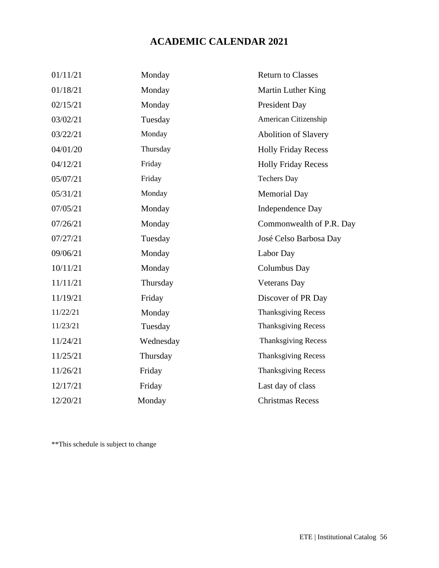# **ACADEMIC CALENDAR 2021**

| 01/11/21 | Monday    | <b>Return to Classes</b>    |
|----------|-----------|-----------------------------|
| 01/18/21 | Monday    | Martin Luther King          |
| 02/15/21 | Monday    | President Day               |
| 03/02/21 | Tuesday   | American Citizenship        |
| 03/22/21 | Monday    | <b>Abolition of Slavery</b> |
| 04/01/20 | Thursday  | <b>Holly Friday Recess</b>  |
| 04/12/21 | Friday    | <b>Holly Friday Recess</b>  |
| 05/07/21 | Friday    | <b>Techers Day</b>          |
| 05/31/21 | Monday    | <b>Memorial Day</b>         |
| 07/05/21 | Monday    | <b>Independence Day</b>     |
| 07/26/21 | Monday    | Commonwealth of P.R. Day    |
| 07/27/21 | Tuesday   | José Celso Barbosa Day      |
| 09/06/21 | Monday    | Labor Day                   |
| 10/11/21 | Monday    | Columbus Day                |
| 11/11/21 | Thursday  | <b>Veterans Day</b>         |
| 11/19/21 | Friday    | Discover of PR Day          |
| 11/22/21 | Monday    | <b>Thanksgiving Recess</b>  |
| 11/23/21 | Tuesday   | <b>Thanksgiving Recess</b>  |
| 11/24/21 | Wednesday | <b>Thanksgiving Recess</b>  |
| 11/25/21 | Thursday  | <b>Thanksgiving Recess</b>  |
| 11/26/21 | Friday    | <b>Thanksgiving Recess</b>  |
| 12/17/21 | Friday    | Last day of class           |
| 12/20/21 | Monday    | <b>Christmas Recess</b>     |

\*\*This schedule is subject to change